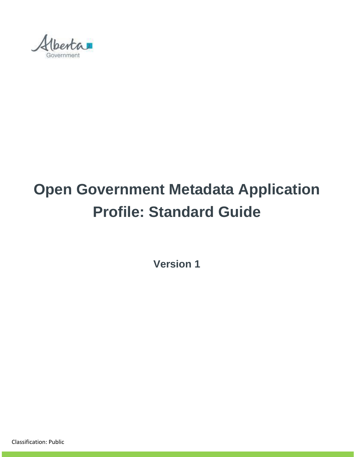

# **Open Government Metadata Application Profile: Standard Guide**

**Version 1**

Classification: Public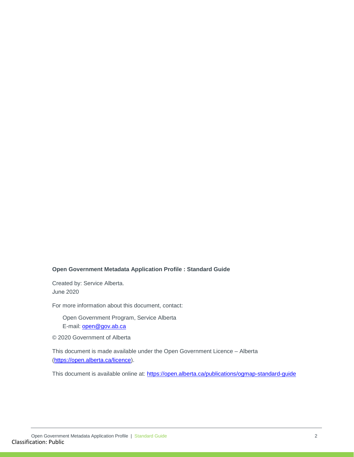#### **Open Government Metadata Application Profile : Standard Guide**

Created by: Service Alberta. June 2020

For more information about this document, contact:

Open Government Program, Service Alberta E-mail: **open@gov.ab.ca** 

© 2020 Government of Alberta

This document is made available under the Open Government Licence – Alberta [\(https://open.alberta.ca/licence\)](https://open.alberta.ca/licence).

This document is available online at:<https://open.alberta.ca/publications/ogmap-standard-guide>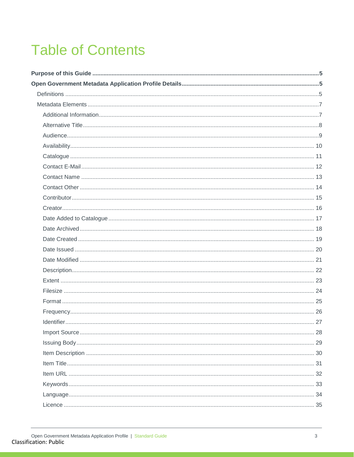## **Table of Contents**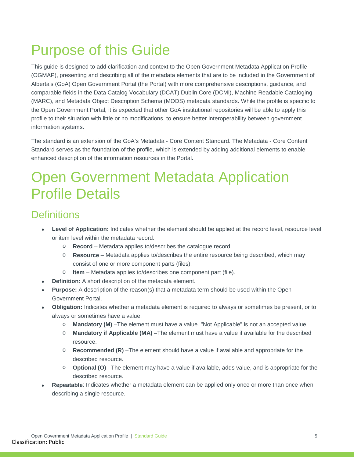## <span id="page-4-0"></span>Purpose of this Guide

This guide is designed to add clarification and context to the Open Government Metadata Application Profile (OGMAP), presenting and describing all of the metadata elements that are to be included in the Government of Alberta's (GoA) Open Government Portal (the Portal) with more comprehensive descriptions, guidance, and comparable fields in the Data Catalog Vocabulary (DCAT) Dublin Core (DCMI), Machine Readable Cataloging (MARC), and Metadata Object Description Schema (MODS) metadata standards. While the profile is specific to the Open Government Portal, it is expected that other GoA institutional repositories will be able to apply this profile to their situation with little or no modifications, to ensure better interoperability between government information systems.

The standard is an extension of the GoA's Metadata - Core Content Standard. The Metadata - Core Content Standard serves as the foundation of the profile, which is extended by adding additional elements to enable enhanced description of the information resources in the Portal.

## <span id="page-4-1"></span>Open Government Metadata Application Profile Details

### <span id="page-4-2"></span>**Definitions**

- **Level of Application:** Indicates whether the element should be applied at the record level, resource level or item level within the metadata record.
	- o **Record** Metadata applies to/describes the catalogue record.
	- o **Resource** Metadata applies to/describes the entire resource being described, which may consist of one or more component parts (files).
	- o **Item** Metadata applies to/describes one component part (file).
- **Definition:** A short description of the metadata element.
- **Purpose:** A description of the reason(s) that a metadata term should be used within the Open Government Portal.
- **Obligation:** Indicates whether a metadata element is required to always or sometimes be present, or to always or sometimes have a value.
	- o **Mandatory (M)** –The element must have a value. "Not Applicable" is not an accepted value.
	- o **Mandatory if Applicable (MA)** –The element must have a value if available for the described resource.
	- o **Recommended (R)** –The element should have a value if available and appropriate for the described resource.
	- o **Optional (O)** –The element may have a value if available, adds value, and is appropriate for the described resource.
- **Repeatable**: Indicates whether a metadata element can be applied only once or more than once when describing a single resource.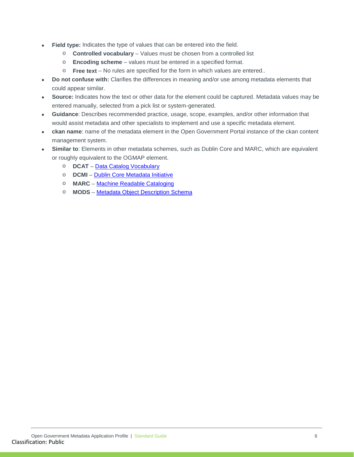- Field type: Indicates the type of values that can be entered into the field.
	- o **Controlled vocabulary** Values must be chosen from a controlled list
	- o **Encoding scheme** values must be entered in a specified format.
	- o **Free text**  No rules are specified for the form in which values are entered..
- **Do not confuse with:** Clarifies the differences in meaning and/or use among metadata elements that could appear similar.
- **Source:** Indicates how the text or other data for the element could be captured. Metadata values may be entered manually, selected from a pick list or system-generated.
- **Guidance**: Describes recommended practice, usage, scope, examples, and/or other information that would assist metadata and other specialists to implement and use a specific metadata element.
- **ckan name**: name of the metadata element in the Open Government Portal instance of the ckan content management system.
- **Similar to**: Elements in other metadata schemes, such as Dublin Core and MARC, which are equivalent or roughly equivalent to the OGMAP element.
	- o **DCAT** [Data Catalog Vocabulary](https://www.w3.org/TR/vocab-dcat-2/)
	- o **DCMI** [Dublin Core Metadata Initiative](https://www.dublincore.org/specifications/dublin-core/dcmi-terms/)
	- o **MARC** [Machine Readable Cataloging](https://www.loc.gov/marc/marcdocz.html)
	- o **MODS** [Metadata Object Description Schema](http://www.loc.gov/standards/mods/)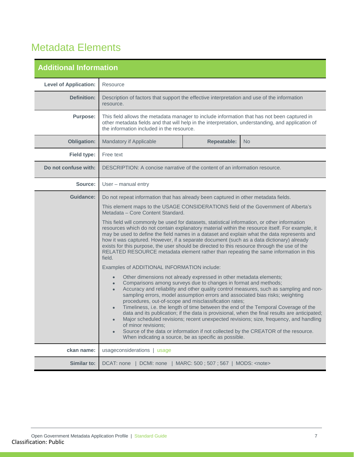### <span id="page-6-0"></span>Metadata Elements

<span id="page-6-1"></span>

| <b>Additional Information</b> |                                                                                                                                                                                                                                                                                                                                                                                                                                                                                                                                                                                                                                                                                                                                                                                                                                               |                    |     |  |
|-------------------------------|-----------------------------------------------------------------------------------------------------------------------------------------------------------------------------------------------------------------------------------------------------------------------------------------------------------------------------------------------------------------------------------------------------------------------------------------------------------------------------------------------------------------------------------------------------------------------------------------------------------------------------------------------------------------------------------------------------------------------------------------------------------------------------------------------------------------------------------------------|--------------------|-----|--|
| <b>Level of Application:</b>  | Resource                                                                                                                                                                                                                                                                                                                                                                                                                                                                                                                                                                                                                                                                                                                                                                                                                                      |                    |     |  |
| <b>Definition:</b>            | Description of factors that support the effective interpretation and use of the information<br>resource.                                                                                                                                                                                                                                                                                                                                                                                                                                                                                                                                                                                                                                                                                                                                      |                    |     |  |
| <b>Purpose:</b>               | This field allows the metadata manager to include information that has not been captured in<br>other metadata fields and that will help in the interpretation, understanding, and application of<br>the information included in the resource.                                                                                                                                                                                                                                                                                                                                                                                                                                                                                                                                                                                                 |                    |     |  |
| <b>Obligation:</b>            | Mandatory if Applicable                                                                                                                                                                                                                                                                                                                                                                                                                                                                                                                                                                                                                                                                                                                                                                                                                       | <b>Repeatable:</b> | No. |  |
| <b>Field type:</b>            | Free text                                                                                                                                                                                                                                                                                                                                                                                                                                                                                                                                                                                                                                                                                                                                                                                                                                     |                    |     |  |
| Do not confuse with:          | DESCRIPTION: A concise narrative of the content of an information resource.                                                                                                                                                                                                                                                                                                                                                                                                                                                                                                                                                                                                                                                                                                                                                                   |                    |     |  |
| Source:                       | User - manual entry                                                                                                                                                                                                                                                                                                                                                                                                                                                                                                                                                                                                                                                                                                                                                                                                                           |                    |     |  |
| <b>Guidance:</b>              | Do not repeat information that has already been captured in other metadata fields.                                                                                                                                                                                                                                                                                                                                                                                                                                                                                                                                                                                                                                                                                                                                                            |                    |     |  |
|                               | This element maps to the USAGE CONSIDERATIONS field of the Government of Alberta's<br>Metadata - Core Content Standard.                                                                                                                                                                                                                                                                                                                                                                                                                                                                                                                                                                                                                                                                                                                       |                    |     |  |
|                               | This field will commonly be used for datasets, statistical information, or other information<br>resources which do not contain explanatory material within the resource itself. For example, it<br>may be used to define the field names in a dataset and explain what the data represents and<br>how it was captured. However, if a separate document (such as a data dictionary) already<br>exists for this purpose, the user should be directed to this resource through the use of the<br>RELATED RESOURCE metadata element rather than repeating the same information in this<br>field.                                                                                                                                                                                                                                                  |                    |     |  |
|                               | Examples of ADDITIONAL INFORMATION include:                                                                                                                                                                                                                                                                                                                                                                                                                                                                                                                                                                                                                                                                                                                                                                                                   |                    |     |  |
|                               | Other dimensions not already expressed in other metadata elements;<br>$\bullet$<br>Comparisons among surveys due to changes in format and methods;<br>Accuracy and reliability and other quality control measures, such as sampling and non-<br>sampling errors, model assumption errors and associated bias risks; weighting<br>procedures, out-of-scope and misclassification rates;<br>Timeliness, i.e. the length of time between the end of the Temporal Coverage of the<br>data and its publication; if the data is provisional, when the final results are anticipated;<br>Major scheduled revisions; recent unexpected revisions; size, frequency, and handling<br>of minor revisions;<br>Source of the data or information if not collected by the CREATOR of the resource.<br>When indicating a source, be as specific as possible. |                    |     |  |
| ckan name:                    | usageconsiderations   usage                                                                                                                                                                                                                                                                                                                                                                                                                                                                                                                                                                                                                                                                                                                                                                                                                   |                    |     |  |
| <b>Similar to:</b>            | DCAT: none   DCMI: none   MARC: 500 ; 507 ; 567   MODS: <note></note>                                                                                                                                                                                                                                                                                                                                                                                                                                                                                                                                                                                                                                                                                                                                                                         |                    |     |  |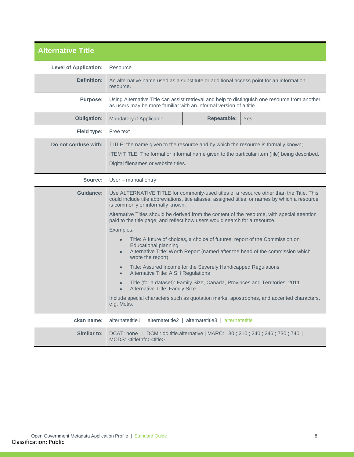<span id="page-7-0"></span>

| <b>Alternative Title</b>     |                                                                                                                                                                                                                                             |                                                                |                                                                                                 |
|------------------------------|---------------------------------------------------------------------------------------------------------------------------------------------------------------------------------------------------------------------------------------------|----------------------------------------------------------------|-------------------------------------------------------------------------------------------------|
| <b>Level of Application:</b> | Resource                                                                                                                                                                                                                                    |                                                                |                                                                                                 |
| <b>Definition:</b>           | An alternative name used as a substitute or additional access point for an information<br>resource.                                                                                                                                         |                                                                |                                                                                                 |
| <b>Purpose:</b>              | as users may be more familiar with an informal version of a title.                                                                                                                                                                          |                                                                | Using Alternative Title can assist retrieval and help to distinguish one resource from another, |
| <b>Obligation:</b>           | Mandatory if Applicable                                                                                                                                                                                                                     | <b>Repeatable:</b>                                             | Yes                                                                                             |
| Field type:                  | Free text                                                                                                                                                                                                                                   |                                                                |                                                                                                 |
| Do not confuse with:         | TITLE: the name given to the resource and by which the resource is formally known;<br>ITEM TITLE: The formal or informal name given to the particular item (file) being described.<br>Digital filenames or website titles.                  |                                                                |                                                                                                 |
| Source:                      | User - manual entry                                                                                                                                                                                                                         |                                                                |                                                                                                 |
| <b>Guidance:</b>             | Use ALTERNATIVE TITLE for commonly-used titles of a resource other than the Title. This<br>could include title abbreviations, title aliases, assigned titles, or names by which a resource<br>is commonly or informally known.              |                                                                |                                                                                                 |
|                              | Alternative Titles should be derived from the content of the resource, with special attention<br>paid to the title page, and reflect how users would search for a resource.                                                                 |                                                                |                                                                                                 |
|                              | Examples:                                                                                                                                                                                                                                   |                                                                |                                                                                                 |
|                              | Title: A future of choices, a choice of futures: report of the Commission on<br>$\bullet$<br><b>Educational planning</b><br>Alternative Title: Worth Report (named after the head of the commission which<br>$\bullet$<br>wrote the report) |                                                                |                                                                                                 |
|                              | $\bullet$<br>Alternative Title: AISH Regulations<br>$\bullet$                                                                                                                                                                               | Title: Assured Income for the Severely Handicapped Regulations |                                                                                                 |
|                              | <b>Alternative Title: Family Size</b>                                                                                                                                                                                                       |                                                                | Title (for a dataset): Family Size, Canada, Provinces and Territories, 2011                     |
|                              | e.g. Métis.                                                                                                                                                                                                                                 |                                                                | Include special characters such as quotation marks, apostrophes, and accented characters,       |
| ckan name:                   | alternatetitle2  <br>alternatetitle1                                                                                                                                                                                                        | alternatetitle3   alternatetitle                               |                                                                                                 |
| <b>Similar to:</b>           | DCMI: dc.title.alternative   MARC: 130; 210; 240; 246; 730; 740  <br>DCAT: none<br>MODS: <titleinfo><title></title></titleinfo>                                                                                                             |                                                                |                                                                                                 |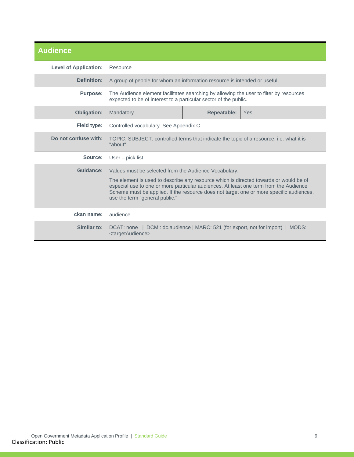<span id="page-8-0"></span>

| <b>Audience</b>              |                                                                                                                                                                                                                                                                                                                                                                      |  |                                                                    |  |
|------------------------------|----------------------------------------------------------------------------------------------------------------------------------------------------------------------------------------------------------------------------------------------------------------------------------------------------------------------------------------------------------------------|--|--------------------------------------------------------------------|--|
| <b>Level of Application:</b> | Resource                                                                                                                                                                                                                                                                                                                                                             |  |                                                                    |  |
| Definition:                  | A group of people for whom an information resource is intended or useful.                                                                                                                                                                                                                                                                                            |  |                                                                    |  |
| <b>Purpose:</b>              | The Audience element facilitates searching by allowing the user to filter by resources<br>expected to be of interest to a particular sector of the public.                                                                                                                                                                                                           |  |                                                                    |  |
| <b>Obligation:</b>           | <b>Repeatable:</b><br>Mandatory<br>Yes                                                                                                                                                                                                                                                                                                                               |  |                                                                    |  |
| Field type:                  | Controlled vocabulary. See Appendix C.                                                                                                                                                                                                                                                                                                                               |  |                                                                    |  |
| Do not confuse with:         | TOPIC, SUBJECT: controlled terms that indicate the topic of a resource, i.e. what it is<br>"about".                                                                                                                                                                                                                                                                  |  |                                                                    |  |
| Source:                      | User $-$ pick list                                                                                                                                                                                                                                                                                                                                                   |  |                                                                    |  |
| Guidance:                    | Values must be selected from the Audience Vocabulary.<br>The element is used to describe any resource which is directed towards or would be of<br>especial use to one or more particular audiences. At least one term from the Audience<br>Scheme must be applied. If the resource does not target one or more specific audiences,<br>use the term "general public." |  |                                                                    |  |
| ckan name:                   | audience                                                                                                                                                                                                                                                                                                                                                             |  |                                                                    |  |
| Similar to:                  | DCAT: none<br><targetaudience></targetaudience>                                                                                                                                                                                                                                                                                                                      |  | DCMI: dc.audience   MARC: 521 (for export, not for import)   MODS: |  |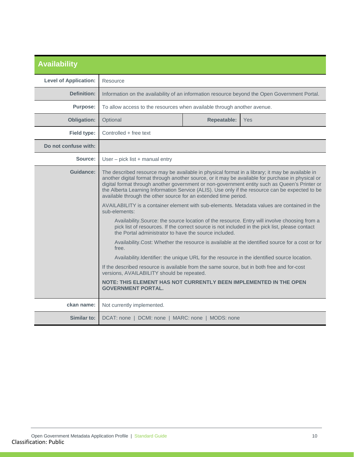<span id="page-9-0"></span>

| <b>Availability</b>          |                                                                                                                                                                                                                                                                                                                                                                                                                                                                                                                                                                                                                                                                                                                                                                                                                                                                                                                                                                                                                                                                                                                                                                                                                                                                                                                  |                    |            |
|------------------------------|------------------------------------------------------------------------------------------------------------------------------------------------------------------------------------------------------------------------------------------------------------------------------------------------------------------------------------------------------------------------------------------------------------------------------------------------------------------------------------------------------------------------------------------------------------------------------------------------------------------------------------------------------------------------------------------------------------------------------------------------------------------------------------------------------------------------------------------------------------------------------------------------------------------------------------------------------------------------------------------------------------------------------------------------------------------------------------------------------------------------------------------------------------------------------------------------------------------------------------------------------------------------------------------------------------------|--------------------|------------|
| <b>Level of Application:</b> | Resource                                                                                                                                                                                                                                                                                                                                                                                                                                                                                                                                                                                                                                                                                                                                                                                                                                                                                                                                                                                                                                                                                                                                                                                                                                                                                                         |                    |            |
| <b>Definition:</b>           | Information on the availability of an information resource beyond the Open Government Portal.                                                                                                                                                                                                                                                                                                                                                                                                                                                                                                                                                                                                                                                                                                                                                                                                                                                                                                                                                                                                                                                                                                                                                                                                                    |                    |            |
| <b>Purpose:</b>              | To allow access to the resources when available through another avenue.                                                                                                                                                                                                                                                                                                                                                                                                                                                                                                                                                                                                                                                                                                                                                                                                                                                                                                                                                                                                                                                                                                                                                                                                                                          |                    |            |
| <b>Obligation:</b>           | Optional                                                                                                                                                                                                                                                                                                                                                                                                                                                                                                                                                                                                                                                                                                                                                                                                                                                                                                                                                                                                                                                                                                                                                                                                                                                                                                         | <b>Repeatable:</b> | <b>Yes</b> |
| Field type:                  | Controlled + free text                                                                                                                                                                                                                                                                                                                                                                                                                                                                                                                                                                                                                                                                                                                                                                                                                                                                                                                                                                                                                                                                                                                                                                                                                                                                                           |                    |            |
| Do not confuse with:         |                                                                                                                                                                                                                                                                                                                                                                                                                                                                                                                                                                                                                                                                                                                                                                                                                                                                                                                                                                                                                                                                                                                                                                                                                                                                                                                  |                    |            |
| Source:                      | User - pick list + manual entry                                                                                                                                                                                                                                                                                                                                                                                                                                                                                                                                                                                                                                                                                                                                                                                                                                                                                                                                                                                                                                                                                                                                                                                                                                                                                  |                    |            |
| Guidance:                    | The described resource may be available in physical format in a library; it may be available in<br>another digital format through another source, or it may be available for purchase in physical or<br>digital format through another government or non-government entity such as Queen's Printer or<br>the Alberta Learning Information Service (ALIS). Use only if the resource can be expected to be<br>available through the other source for an extended time period.<br>AVAILABILITY is a container element with sub-elements. Metadata values are contained in the<br>sub-elements:<br>Availability. Source: the source location of the resource. Entry will involve choosing from a<br>pick list of resources. If the correct source is not included in the pick list, please contact<br>the Portal administrator to have the source included.<br>Availability.Cost: Whether the resource is available at the identified source for a cost or for<br>free.<br>Availability.Identifier: the unique URL for the resource in the identified source location.<br>If the described resource is available from the same source, but in both free and for-cost<br>versions, AVAILABILITY should be repeated.<br>NOTE: THIS ELEMENT HAS NOT CURRENTLY BEEN IMPLEMENTED IN THE OPEN<br><b>GOVERNMENT PORTAL.</b> |                    |            |
| ckan name:                   | Not currently implemented.                                                                                                                                                                                                                                                                                                                                                                                                                                                                                                                                                                                                                                                                                                                                                                                                                                                                                                                                                                                                                                                                                                                                                                                                                                                                                       |                    |            |
| Similar to:                  | DCAT: none   DCMI: none   MARC: none   MODS: none                                                                                                                                                                                                                                                                                                                                                                                                                                                                                                                                                                                                                                                                                                                                                                                                                                                                                                                                                                                                                                                                                                                                                                                                                                                                |                    |            |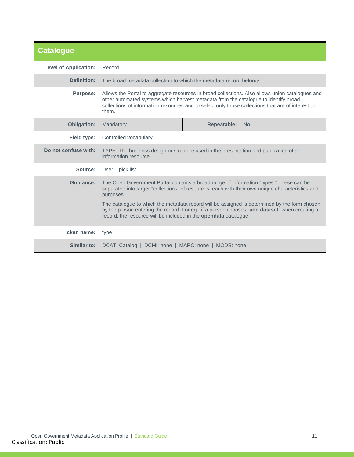<span id="page-10-0"></span>

| <b>Catalogue</b>             |                                                                                                                                                                                                                                                                                                         |                                 |  |  |  |
|------------------------------|---------------------------------------------------------------------------------------------------------------------------------------------------------------------------------------------------------------------------------------------------------------------------------------------------------|---------------------------------|--|--|--|
| <b>Level of Application:</b> | Record                                                                                                                                                                                                                                                                                                  |                                 |  |  |  |
| <b>Definition:</b>           | The broad metadata collection to which the metadata record belongs.                                                                                                                                                                                                                                     |                                 |  |  |  |
| <b>Purpose:</b>              | Allows the Portal to aggregate resources in broad collections. Also allows union catalogues and<br>other automated systems which harvest metadata from the catalogue to identify broad<br>collections of information resources and to select only those collections that are of interest to<br>them.    |                                 |  |  |  |
| <b>Obligation:</b>           | Mandatory                                                                                                                                                                                                                                                                                               | <b>Repeatable:</b><br><b>No</b> |  |  |  |
| Field type:                  | Controlled vocabulary                                                                                                                                                                                                                                                                                   |                                 |  |  |  |
| Do not confuse with:         | TYPE: The business design or structure used in the presentation and publication of an<br>information resource.                                                                                                                                                                                          |                                 |  |  |  |
| Source:                      | User $-$ pick list                                                                                                                                                                                                                                                                                      |                                 |  |  |  |
| Guidance:                    | The Open Government Portal contains a broad range of information "types." These can be<br>separated into larger "collections" of resources, each with their own unique characteristics and<br>purposes.<br>The catalogue to which the metadata record will be assigned is determined by the form chosen |                                 |  |  |  |
|                              | by the person entering the record. For eg., if a person chooses "add dataset" when creating a<br>record, the resource will be included in the <b>opendata</b> catalogue                                                                                                                                 |                                 |  |  |  |
| ckan name:                   | type                                                                                                                                                                                                                                                                                                    |                                 |  |  |  |
| Similar to:                  | DCAT: Catalog   DCMI: none   MARC: none   MODS: none                                                                                                                                                                                                                                                    |                                 |  |  |  |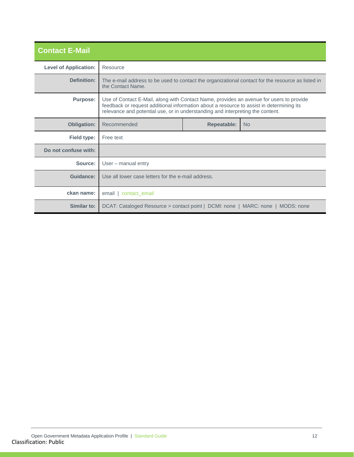<span id="page-11-0"></span>

| <b>Contact E-Mail</b>        |                                                                                                                                                                                                                                                                       |                                 |  |  |  |
|------------------------------|-----------------------------------------------------------------------------------------------------------------------------------------------------------------------------------------------------------------------------------------------------------------------|---------------------------------|--|--|--|
| <b>Level of Application:</b> | Resource                                                                                                                                                                                                                                                              |                                 |  |  |  |
| Definition:                  | The e-mail address to be used to contact the organizational contact for the resource as listed in<br>the Contact Name.                                                                                                                                                |                                 |  |  |  |
| <b>Purpose:</b>              | Use of Contact E-Mail, along with Contact Name, provides an avenue for users to provide<br>feedback or request additional information about a resource to assist in determining its<br>relevance and potential use, or in understanding and interpreting the content. |                                 |  |  |  |
| <b>Obligation:</b>           | Recommended                                                                                                                                                                                                                                                           | <b>Repeatable:</b><br><b>No</b> |  |  |  |
| Field type:                  | Free text                                                                                                                                                                                                                                                             |                                 |  |  |  |
| Do not confuse with:         |                                                                                                                                                                                                                                                                       |                                 |  |  |  |
| Source:                      | User – manual entry                                                                                                                                                                                                                                                   |                                 |  |  |  |
| Guidance:                    | Use all lower case letters for the e-mail address.                                                                                                                                                                                                                    |                                 |  |  |  |
| ckan name:                   | email   contact email                                                                                                                                                                                                                                                 |                                 |  |  |  |
| Similar to:                  | DCAT: Cataloged Resource > contact point   DCMI: none   MARC: none   MODS: none                                                                                                                                                                                       |                                 |  |  |  |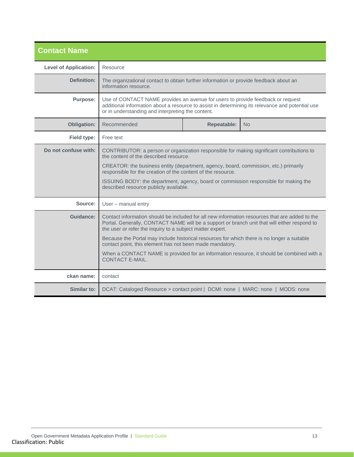<span id="page-12-0"></span>

| <b>Contact Name</b>          |                                                                                                                                                                                                                                                                                                                                                                                                                               |                    |                                                                                           |
|------------------------------|-------------------------------------------------------------------------------------------------------------------------------------------------------------------------------------------------------------------------------------------------------------------------------------------------------------------------------------------------------------------------------------------------------------------------------|--------------------|-------------------------------------------------------------------------------------------|
| <b>Level of Application:</b> | Resource                                                                                                                                                                                                                                                                                                                                                                                                                      |                    |                                                                                           |
| Definition:                  | The organizational contact to obtain further information or provide feedback about an<br>information resource.                                                                                                                                                                                                                                                                                                                |                    |                                                                                           |
| <b>Purpose:</b>              | Use of CONTACT NAME provides an avenue for users to provide feedback or request<br>additional information about a resource to assist in determining its relevance and potential use<br>or in understanding and interpreting the content.                                                                                                                                                                                      |                    |                                                                                           |
| <b>Obligation:</b>           | Recommended                                                                                                                                                                                                                                                                                                                                                                                                                   | <b>Repeatable:</b> | <b>No</b>                                                                                 |
| Field type:                  | Free text                                                                                                                                                                                                                                                                                                                                                                                                                     |                    |                                                                                           |
| Do not confuse with:         | CONTRIBUTOR: a person or organization responsible for making significant contributions to<br>the content of the described resource.<br>CREATOR: the business entity (department, agency, board, commission, etc.) primarily<br>responsible for the creation of the content of the resource.<br>ISSUING BODY: the department, agency, board or commission responsible for making the<br>described resource publicly available. |                    |                                                                                           |
| Source:                      | User - manual entry                                                                                                                                                                                                                                                                                                                                                                                                           |                    |                                                                                           |
| Guidance:                    | Contact information should be included for all new information resources that are added to the<br>Portal. Generally, CONTACT NAME will be a support or branch unit that will either respond to<br>the user or refer the inquiry to a subject matter expert.<br>Because the Portal may include historical resources for which there is no longer a suitable<br>contact point, this element has not been made mandatory.        |                    |                                                                                           |
|                              | CONTACT F-MAIL.                                                                                                                                                                                                                                                                                                                                                                                                               |                    | When a CONTACT NAME is provided for an information resource, it should be combined with a |
| ckan name:                   | contact                                                                                                                                                                                                                                                                                                                                                                                                                       |                    |                                                                                           |
| Similar to:                  | DCAT: Cataloged Resource > contact point   DCMI: none   MARC: none   MODS: none                                                                                                                                                                                                                                                                                                                                               |                    |                                                                                           |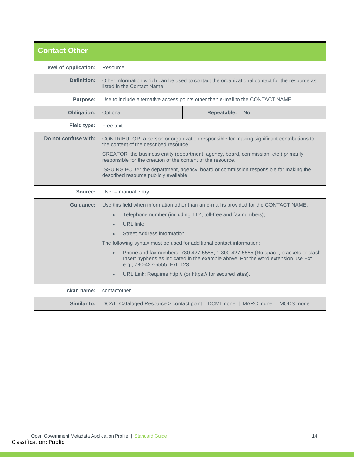<span id="page-13-0"></span>

| <b>Contact Other</b>         |                                                                                                                                                                                                                                                                                                                                                                                                                                                                                                                                                                                                                        |                    |     |
|------------------------------|------------------------------------------------------------------------------------------------------------------------------------------------------------------------------------------------------------------------------------------------------------------------------------------------------------------------------------------------------------------------------------------------------------------------------------------------------------------------------------------------------------------------------------------------------------------------------------------------------------------------|--------------------|-----|
| <b>Level of Application:</b> | Resource                                                                                                                                                                                                                                                                                                                                                                                                                                                                                                                                                                                                               |                    |     |
| Definition:                  | Other information which can be used to contact the organizational contact for the resource as<br>listed in the Contact Name.                                                                                                                                                                                                                                                                                                                                                                                                                                                                                           |                    |     |
| <b>Purpose:</b>              | Use to include alternative access points other than e-mail to the CONTACT NAME.                                                                                                                                                                                                                                                                                                                                                                                                                                                                                                                                        |                    |     |
| <b>Obligation:</b>           | Optional                                                                                                                                                                                                                                                                                                                                                                                                                                                                                                                                                                                                               | <b>Repeatable:</b> | No. |
| Field type:                  | Free text                                                                                                                                                                                                                                                                                                                                                                                                                                                                                                                                                                                                              |                    |     |
| Do not confuse with:         | CONTRIBUTOR: a person or organization responsible for making significant contributions to<br>the content of the described resource.<br>CREATOR: the business entity (department, agency, board, commission, etc.) primarily<br>responsible for the creation of the content of the resource.<br>ISSUING BODY: the department, agency, board or commission responsible for making the<br>described resource publicly available.                                                                                                                                                                                          |                    |     |
| Source:                      | User - manual entry                                                                                                                                                                                                                                                                                                                                                                                                                                                                                                                                                                                                    |                    |     |
| Guidance:                    | Use this field when information other than an e-mail is provided for the CONTACT NAME.<br>Telephone number (including TTY, toll-free and fax numbers);<br>$\bullet$<br><b>URL</b> link:<br>$\bullet$<br><b>Street Address information</b><br>The following syntax must be used for additional contact information:<br>Phone and fax numbers: 780-427-5555; 1-800-427-5555 (No space, brackets or slash.<br>$\bullet$<br>Insert hyphens as indicated in the example above. For the word extension use Ext.<br>e.g.; 780-427-5555, Ext. 123.<br>URL Link: Requires http:// (or https:// for secured sites).<br>$\bullet$ |                    |     |
| ckan name:                   | contactother                                                                                                                                                                                                                                                                                                                                                                                                                                                                                                                                                                                                           |                    |     |
| Similar to:                  | DCAT: Cataloged Resource > contact point   DCMI: none   MARC: none   MODS: none                                                                                                                                                                                                                                                                                                                                                                                                                                                                                                                                        |                    |     |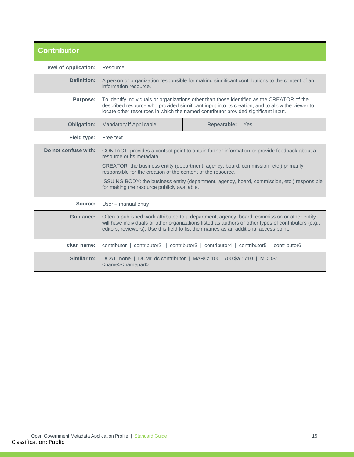<span id="page-14-0"></span>

| <b>Contributor</b>           |                                                                                                                                                                                                                                                                                                                                                                                                                                |  |  |  |
|------------------------------|--------------------------------------------------------------------------------------------------------------------------------------------------------------------------------------------------------------------------------------------------------------------------------------------------------------------------------------------------------------------------------------------------------------------------------|--|--|--|
| <b>Level of Application:</b> | Resource                                                                                                                                                                                                                                                                                                                                                                                                                       |  |  |  |
| <b>Definition:</b>           | A person or organization responsible for making significant contributions to the content of an<br>information resource.                                                                                                                                                                                                                                                                                                        |  |  |  |
| <b>Purpose:</b>              | To identify individuals or organizations other than those identified as the CREATOR of the<br>described resource who provided significant input into its creation, and to allow the viewer to<br>locate other resources in which the named contributor provided significant input.                                                                                                                                             |  |  |  |
| <b>Obligation:</b>           | <b>Repeatable:</b><br>Mandatory if Applicable<br>Yes                                                                                                                                                                                                                                                                                                                                                                           |  |  |  |
| Field type:                  | Free text                                                                                                                                                                                                                                                                                                                                                                                                                      |  |  |  |
| Do not confuse with:         | CONTACT: provides a contact point to obtain further information or provide feedback about a<br>resource or its metadata.<br>CREATOR: the business entity (department, agency, board, commission, etc.) primarily<br>responsible for the creation of the content of the resource.<br>ISSUING BODY: the business entity (department, agency, board, commission, etc.) responsible<br>for making the resource publicly available. |  |  |  |
| Source:                      | User - manual entry                                                                                                                                                                                                                                                                                                                                                                                                            |  |  |  |
| <b>Guidance:</b>             | Often a published work attributed to a department, agency, board, commission or other entity<br>will have individuals or other organizations listed as authors or other types of contributors (e.g.,<br>editors, reviewers). Use this field to list their names as an additional access point.                                                                                                                                 |  |  |  |
| ckan name:                   | contributor   contributor2   contributor3   contributor4   contributor5   contributor6                                                                                                                                                                                                                                                                                                                                         |  |  |  |
| Similar to:                  | DCAT: none   DCMI: dc.contributor   MARC: 100 ; 700 \$a ; 710   MODS:<br><name><namepart></namepart></name>                                                                                                                                                                                                                                                                                                                    |  |  |  |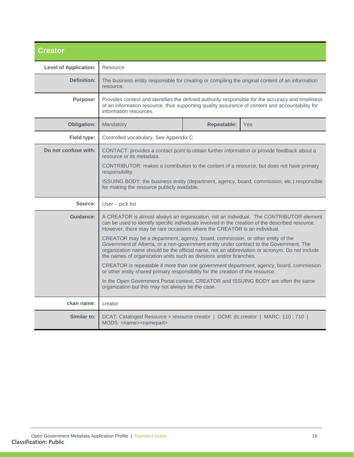<span id="page-15-0"></span>

| <b>Creator</b>               |                                                                                                                                                                                                                                                                                                                                                  |                                                                                                                                                                                                      |                                                                                         |  |
|------------------------------|--------------------------------------------------------------------------------------------------------------------------------------------------------------------------------------------------------------------------------------------------------------------------------------------------------------------------------------------------|------------------------------------------------------------------------------------------------------------------------------------------------------------------------------------------------------|-----------------------------------------------------------------------------------------|--|
| <b>Level of Application:</b> | Resource                                                                                                                                                                                                                                                                                                                                         |                                                                                                                                                                                                      |                                                                                         |  |
| Definition:                  | The business entity responsible for creating or compiling the original content of an information<br>resource.                                                                                                                                                                                                                                    |                                                                                                                                                                                                      |                                                                                         |  |
| <b>Purpose:</b>              | information resources.                                                                                                                                                                                                                                                                                                                           | Provides context and identifies the defined authority responsible for the accuracy and timeliness<br>of an information resource, thus supporting quality assurance of content and accountability for |                                                                                         |  |
| Obligation:                  | Mandatory                                                                                                                                                                                                                                                                                                                                        | <b>Repeatable:</b>                                                                                                                                                                                   | <b>Yes</b>                                                                              |  |
| Field type:                  | Controlled vocabulary. See Appendix C                                                                                                                                                                                                                                                                                                            |                                                                                                                                                                                                      |                                                                                         |  |
| Do not confuse with:         | CONTACT: provides a contact point to obtain further information or provide feedback about a<br>resource or its metadata.                                                                                                                                                                                                                         |                                                                                                                                                                                                      |                                                                                         |  |
|                              | CONTRIBUTOR: makes a contribution to the content of a resource, but does not have primary<br>responsibility.                                                                                                                                                                                                                                     |                                                                                                                                                                                                      |                                                                                         |  |
|                              | ISSUING BODY: the business entity (department, agency, board, commission, etc.) responsible<br>for making the resource publicly available.                                                                                                                                                                                                       |                                                                                                                                                                                                      |                                                                                         |  |
| Source:                      | User - pick list                                                                                                                                                                                                                                                                                                                                 |                                                                                                                                                                                                      |                                                                                         |  |
| <b>Guidance:</b>             | A CREATOR is almost always an organization, not an individual. The CONTRIBUTOR element<br>can be used to identify specific individuals involved in the creation of the described resource.<br>However, there may be rare occasions where the CREATOR is an individual.                                                                           |                                                                                                                                                                                                      |                                                                                         |  |
|                              | CREATOR may be a department, agency, board, commission, or other entity of the<br>Government of Alberta, or a non-government entity under contract to the Government. The<br>organization name should be the official name, not an abbreviation or acronym. Do not include<br>the names of organization units such as divisions and/or branches. |                                                                                                                                                                                                      |                                                                                         |  |
|                              | or other entity shared primary responsibility for the creation of the resource.                                                                                                                                                                                                                                                                  |                                                                                                                                                                                                      | CREATOR is repeatable if more than one government department, agency, board, commission |  |
|                              | In the Open Government Portal context, CREATOR and ISSUING BODY are often the same<br>organization but this may not always be the case.                                                                                                                                                                                                          |                                                                                                                                                                                                      |                                                                                         |  |
| ckan name:                   | creator                                                                                                                                                                                                                                                                                                                                          |                                                                                                                                                                                                      |                                                                                         |  |
| Similar to:                  | DCAT: Cataloged Resource > resource creator   DCMI: dc.creator   MARC: 110; 710  <br>MODS: <name><namepart></namepart></name>                                                                                                                                                                                                                    |                                                                                                                                                                                                      |                                                                                         |  |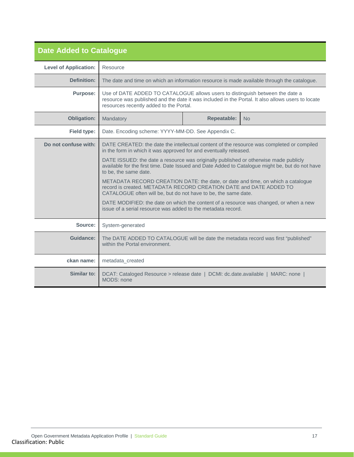<span id="page-16-0"></span>

| <b>Date Added to Catalogue</b> |                                                                                                                                                                                                                               |  |  |
|--------------------------------|-------------------------------------------------------------------------------------------------------------------------------------------------------------------------------------------------------------------------------|--|--|
| <b>Level of Application:</b>   | Resource                                                                                                                                                                                                                      |  |  |
| <b>Definition:</b>             | The date and time on which an information resource is made available through the catalogue.                                                                                                                                   |  |  |
| <b>Purpose:</b>                | Use of DATE ADDED TO CATALOGUE allows users to distinguish between the date a<br>resource was published and the date it was included in the Portal. It also allows users to locate<br>resources recently added to the Portal. |  |  |
| <b>Obligation:</b>             | <b>Repeatable:</b><br>Mandatory<br><b>No</b>                                                                                                                                                                                  |  |  |
| Field type:                    | Date. Encoding scheme: YYYY-MM-DD. See Appendix C.                                                                                                                                                                            |  |  |
| Do not confuse with:           | DATE CREATED: the date the intellectual content of the resource was completed or compiled<br>in the form in which it was approved for and eventually released.                                                                |  |  |
|                                | DATE ISSUED: the date a resource was originally published or otherwise made publicly<br>available for the first time. Date Issued and Date Added to Catalogue might be, but do not have<br>to be, the same date.              |  |  |
|                                | METADATA RECORD CREATION DATE: the date, or date and time, on which a catalogue<br>record is created. METADATA RECORD CREATION DATE and DATE ADDED TO<br>CATALOGUE often will be, but do not have to be, the same date.       |  |  |
|                                | DATE MODIFIED: the date on which the content of a resource was changed, or when a new<br>issue of a serial resource was added to the metadata record.                                                                         |  |  |
| Source:                        | System-generated                                                                                                                                                                                                              |  |  |
| Guidance:                      | The DATE ADDED TO CATALOGUE will be date the metadata record was first "published"<br>within the Portal environment.                                                                                                          |  |  |
| ckan name:                     | metadata_created                                                                                                                                                                                                              |  |  |
| Similar to:                    | DCAT: Cataloged Resource > release date   DCMI: dc.date.available   MARC: none  <br>MODS: none                                                                                                                                |  |  |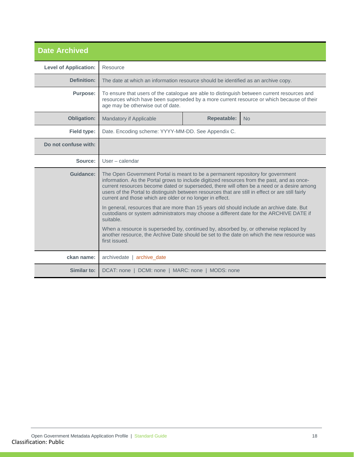<span id="page-17-0"></span>

| <b>Date Archived</b>         |                                                                                                                                                                                                                                                                                                                                                                                                                                                                                                                                                                                                                                                                                                                                                                                                                                                             |                                                    |  |
|------------------------------|-------------------------------------------------------------------------------------------------------------------------------------------------------------------------------------------------------------------------------------------------------------------------------------------------------------------------------------------------------------------------------------------------------------------------------------------------------------------------------------------------------------------------------------------------------------------------------------------------------------------------------------------------------------------------------------------------------------------------------------------------------------------------------------------------------------------------------------------------------------|----------------------------------------------------|--|
| <b>Level of Application:</b> | Resource                                                                                                                                                                                                                                                                                                                                                                                                                                                                                                                                                                                                                                                                                                                                                                                                                                                    |                                                    |  |
| <b>Definition:</b>           | The date at which an information resource should be identified as an archive copy.                                                                                                                                                                                                                                                                                                                                                                                                                                                                                                                                                                                                                                                                                                                                                                          |                                                    |  |
| <b>Purpose:</b>              | To ensure that users of the catalogue are able to distinguish between current resources and<br>resources which have been superseded by a more current resource or which because of their<br>age may be otherwise out of date.                                                                                                                                                                                                                                                                                                                                                                                                                                                                                                                                                                                                                               |                                                    |  |
| <b>Obligation:</b>           | <b>Repeatable:</b><br><b>Mandatory if Applicable</b><br>N <sub>o</sub>                                                                                                                                                                                                                                                                                                                                                                                                                                                                                                                                                                                                                                                                                                                                                                                      |                                                    |  |
| <b>Field type:</b>           |                                                                                                                                                                                                                                                                                                                                                                                                                                                                                                                                                                                                                                                                                                                                                                                                                                                             | Date. Encoding scheme: YYYY-MM-DD. See Appendix C. |  |
| Do not confuse with:         |                                                                                                                                                                                                                                                                                                                                                                                                                                                                                                                                                                                                                                                                                                                                                                                                                                                             |                                                    |  |
| Source:                      | $User - calendar$                                                                                                                                                                                                                                                                                                                                                                                                                                                                                                                                                                                                                                                                                                                                                                                                                                           |                                                    |  |
| Guidance:                    | The Open Government Portal is meant to be a permanent repository for government<br>information. As the Portal grows to include digitized resources from the past, and as once-<br>current resources become dated or superseded, there will often be a need or a desire among<br>users of the Portal to distinguish between resources that are still in effect or are still fairly<br>current and those which are older or no longer in effect.<br>In general, resources that are more than 15 years old should include an archive date. But<br>custodians or system administrators may choose a different date for the ARCHIVE DATE if<br>suitable.<br>When a resource is superseded by, continued by, absorbed by, or otherwise replaced by<br>another resource, the Archive Date should be set to the date on which the new resource was<br>first issued. |                                                    |  |
| ckan name:                   | archivedate   archive_date                                                                                                                                                                                                                                                                                                                                                                                                                                                                                                                                                                                                                                                                                                                                                                                                                                  |                                                    |  |
| Similar to:                  | DCAT: none   DCMI: none   MARC: none   MODS: none                                                                                                                                                                                                                                                                                                                                                                                                                                                                                                                                                                                                                                                                                                                                                                                                           |                                                    |  |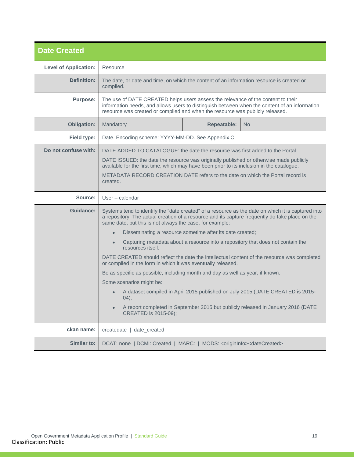<span id="page-18-0"></span>

| <b>Date Created</b>          |                                                                                                                                                                                                                                                                                    |  |                                                                                  |
|------------------------------|------------------------------------------------------------------------------------------------------------------------------------------------------------------------------------------------------------------------------------------------------------------------------------|--|----------------------------------------------------------------------------------|
| <b>Level of Application:</b> | Resource                                                                                                                                                                                                                                                                           |  |                                                                                  |
| Definition:                  | The date, or date and time, on which the content of an information resource is created or<br>compiled.                                                                                                                                                                             |  |                                                                                  |
| <b>Purpose:</b>              | The use of DATE CREATED helps users assess the relevance of the content to their<br>information needs, and allows users to distinguish between when the content of an information<br>resource was created or compiled and when the resource was publicly released.                 |  |                                                                                  |
| Obligation:                  | <b>Repeatable:</b><br>Mandatory<br>No.                                                                                                                                                                                                                                             |  |                                                                                  |
| Field type:                  | Date. Encoding scheme: YYYY-MM-DD. See Appendix C.                                                                                                                                                                                                                                 |  |                                                                                  |
| Do not confuse with:         | DATE ADDED TO CATALOGUE: the date the resource was first added to the Portal.                                                                                                                                                                                                      |  |                                                                                  |
|                              | DATE ISSUED: the date the resource was originally published or otherwise made publicly<br>available for the first time, which may have been prior to its inclusion in the catalogue.<br>METADATA RECORD CREATION DATE refers to the date on which the Portal record is<br>created. |  |                                                                                  |
| Source:                      | User – calendar                                                                                                                                                                                                                                                                    |  |                                                                                  |
| Guidance:                    | Systems tend to identify the "date created" of a resource as the date on which it is captured into<br>a repository. The actual creation of a resource and its capture frequently do take place on the<br>same date, but this is not always the case, for example:                  |  |                                                                                  |
|                              | Disseminating a resource sometime after its date created;<br>$\bullet$                                                                                                                                                                                                             |  |                                                                                  |
|                              | Capturing metadata about a resource into a repository that does not contain the<br>$\bullet$<br>resources itself.                                                                                                                                                                  |  |                                                                                  |
|                              | DATE CREATED should reflect the date the intellectual content of the resource was completed<br>or compiled in the form in which it was eventually released.                                                                                                                        |  |                                                                                  |
|                              | Be as specific as possible, including month and day as well as year, if known.                                                                                                                                                                                                     |  |                                                                                  |
|                              | Some scenarios might be:                                                                                                                                                                                                                                                           |  |                                                                                  |
|                              | 04);                                                                                                                                                                                                                                                                               |  | A dataset compiled in April 2015 published on July 2015 (DATE CREATED is 2015-   |
|                              | $\bullet$<br>CREATED is 2015-09);                                                                                                                                                                                                                                                  |  | A report completed in September 2015 but publicly released in January 2016 (DATE |
| ckan name:                   | createdate   date_created                                                                                                                                                                                                                                                          |  |                                                                                  |
| Similar to:                  | DCAT: none   DCMI: Created   MARC:   MODS: <origininfo><datecreated></datecreated></origininfo>                                                                                                                                                                                    |  |                                                                                  |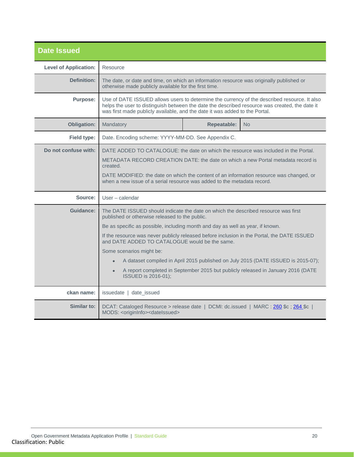<span id="page-19-0"></span>

| <b>Date Issued</b>           |                                                                                                                                                                                                                                                                                                                                                                                                                                                                                                                                                                                                                  |  |  |
|------------------------------|------------------------------------------------------------------------------------------------------------------------------------------------------------------------------------------------------------------------------------------------------------------------------------------------------------------------------------------------------------------------------------------------------------------------------------------------------------------------------------------------------------------------------------------------------------------------------------------------------------------|--|--|
| <b>Level of Application:</b> | Resource                                                                                                                                                                                                                                                                                                                                                                                                                                                                                                                                                                                                         |  |  |
| Definition:                  | The date, or date and time, on which an information resource was originally published or<br>otherwise made publicly available for the first time.                                                                                                                                                                                                                                                                                                                                                                                                                                                                |  |  |
| <b>Purpose:</b>              | Use of DATE ISSUED allows users to determine the currency of the described resource. It also<br>helps the user to distinguish between the date the described resource was created, the date it<br>was first made publicly available, and the date it was added to the Portal.                                                                                                                                                                                                                                                                                                                                    |  |  |
| <b>Obligation:</b>           | <b>Repeatable:</b><br>Mandatory<br>No.                                                                                                                                                                                                                                                                                                                                                                                                                                                                                                                                                                           |  |  |
| Field type:                  | Date. Encoding scheme: YYYY-MM-DD. See Appendix C.                                                                                                                                                                                                                                                                                                                                                                                                                                                                                                                                                               |  |  |
| Do not confuse with:         | DATE ADDED TO CATALOGUE: the date on which the resource was included in the Portal.<br>METADATA RECORD CREATION DATE: the date on which a new Portal metadata record is<br>created.<br>DATE MODIFIED: the date on which the content of an information resource was changed, or<br>when a new issue of a serial resource was added to the metadata record.                                                                                                                                                                                                                                                        |  |  |
| Source:                      | User – calendar                                                                                                                                                                                                                                                                                                                                                                                                                                                                                                                                                                                                  |  |  |
| Guidance:                    | The DATE ISSUED should indicate the date on which the described resource was first<br>published or otherwise released to the public.<br>Be as specific as possible, including month and day as well as year, if known.<br>If the resource was never publicly released before inclusion in the Portal, the DATE ISSUED<br>and DATE ADDED TO CATALOGUE would be the same.<br>Some scenarios might be:<br>A dataset compiled in April 2015 published on July 2015 (DATE ISSUED is 2015-07);<br>A report completed in September 2015 but publicly released in January 2016 (DATE<br>$\bullet$<br>ISSUED is 2016-01); |  |  |
| ckan name:                   | issuedate   date_issued                                                                                                                                                                                                                                                                                                                                                                                                                                                                                                                                                                                          |  |  |
| Similar to:                  | DCAT: Cataloged Resource > release date   DCMI: dc.issued   MARC : 260 \$c ; 264 \$c  <br>MODS: < originInfo> < dateIssued>                                                                                                                                                                                                                                                                                                                                                                                                                                                                                      |  |  |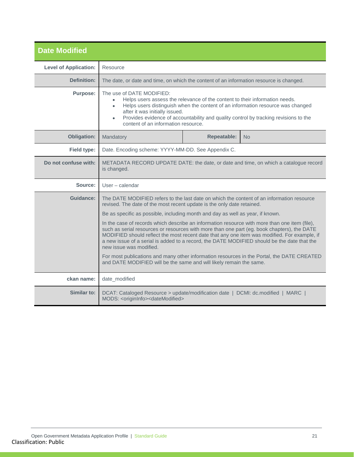<span id="page-20-0"></span>

| <b>Date Modified</b>         |                                                                                                                                                                                                                                                                                                                                                                                                                                                                                                                                                                                                                                                                                                                                                                                                                                                      |                                                                                         |  |
|------------------------------|------------------------------------------------------------------------------------------------------------------------------------------------------------------------------------------------------------------------------------------------------------------------------------------------------------------------------------------------------------------------------------------------------------------------------------------------------------------------------------------------------------------------------------------------------------------------------------------------------------------------------------------------------------------------------------------------------------------------------------------------------------------------------------------------------------------------------------------------------|-----------------------------------------------------------------------------------------|--|
| <b>Level of Application:</b> | Resource                                                                                                                                                                                                                                                                                                                                                                                                                                                                                                                                                                                                                                                                                                                                                                                                                                             |                                                                                         |  |
| Definition:                  |                                                                                                                                                                                                                                                                                                                                                                                                                                                                                                                                                                                                                                                                                                                                                                                                                                                      | The date, or date and time, on which the content of an information resource is changed. |  |
| <b>Purpose:</b>              | The use of DATE MODIFIED:<br>Helps users assess the relevance of the content to their information needs.<br>Helps users distinguish when the content of an information resource was changed<br>after it was initially issued.<br>Provides evidence of accountability and quality control by tracking revisions to the<br>$\bullet$<br>content of an information resource.                                                                                                                                                                                                                                                                                                                                                                                                                                                                            |                                                                                         |  |
| <b>Obligation:</b>           | <b>Repeatable:</b><br>Mandatory<br><b>No</b>                                                                                                                                                                                                                                                                                                                                                                                                                                                                                                                                                                                                                                                                                                                                                                                                         |                                                                                         |  |
| <b>Field type:</b>           |                                                                                                                                                                                                                                                                                                                                                                                                                                                                                                                                                                                                                                                                                                                                                                                                                                                      | Date. Encoding scheme: YYYY-MM-DD. See Appendix C.                                      |  |
| Do not confuse with:         | METADATA RECORD UPDATE DATE: the date, or date and time, on which a catalogue record<br>is changed.                                                                                                                                                                                                                                                                                                                                                                                                                                                                                                                                                                                                                                                                                                                                                  |                                                                                         |  |
| Source:                      | User - calendar                                                                                                                                                                                                                                                                                                                                                                                                                                                                                                                                                                                                                                                                                                                                                                                                                                      |                                                                                         |  |
| <b>Guidance:</b>             | The DATE MODIFIED refers to the last date on which the content of an information resource<br>revised. The date of the most recent update is the only date retained.<br>Be as specific as possible, including month and day as well as year, if known.<br>In the case of records which describe an information resource with more than one item (file),<br>such as serial resources or resources with more than one part (eg. book chapters), the DATE<br>MODIFIED should reflect the most recent date that any one item was modified. For example, if<br>a new issue of a serial is added to a record, the DATE MODIFIED should be the date that the<br>new issue was modified.<br>For most publications and many other information resources in the Portal, the DATE CREATED<br>and DATE MODIFIED will be the same and will likely remain the same. |                                                                                         |  |
| ckan name:                   | date_modified                                                                                                                                                                                                                                                                                                                                                                                                                                                                                                                                                                                                                                                                                                                                                                                                                                        |                                                                                         |  |
| Similar to:                  | DCAT: Cataloged Resource > update/modification date   DCMI: dc.modified   MARC  <br>MODS: < originInfo> < dateModified>                                                                                                                                                                                                                                                                                                                                                                                                                                                                                                                                                                                                                                                                                                                              |                                                                                         |  |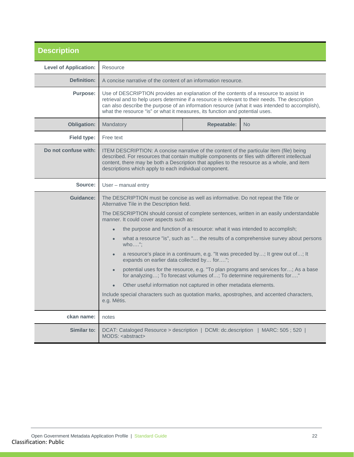<span id="page-21-0"></span>

| <b>Description</b>           |                                                                                                                                                                                                                                                                                                                                                                            |  |  |
|------------------------------|----------------------------------------------------------------------------------------------------------------------------------------------------------------------------------------------------------------------------------------------------------------------------------------------------------------------------------------------------------------------------|--|--|
| <b>Level of Application:</b> | Resource                                                                                                                                                                                                                                                                                                                                                                   |  |  |
| Definition:                  | A concise narrative of the content of an information resource.                                                                                                                                                                                                                                                                                                             |  |  |
| <b>Purpose:</b>              | Use of DESCRIPTION provides an explanation of the contents of a resource to assist in<br>retrieval and to help users determine if a resource is relevant to their needs. The description<br>can also describe the purpose of an information resource (what it was intended to accomplish),<br>what the resource "is" or what it measures, its function and potential uses. |  |  |
| Obligation:                  | <b>Repeatable:</b><br>Mandatory<br>N <sub>o</sub>                                                                                                                                                                                                                                                                                                                          |  |  |
| Field type:                  | Free text                                                                                                                                                                                                                                                                                                                                                                  |  |  |
| Do not confuse with:         | ITEM DESCRIPTION: A concise narrative of the content of the particular item (file) being<br>described. For resources that contain multiple components or files with different intellectual<br>content, there may be both a Description that applies to the resource as a whole, and item<br>descriptions which apply to each individual component.                         |  |  |
| Source:                      | User – manual entry                                                                                                                                                                                                                                                                                                                                                        |  |  |
| Guidance:                    | The DESCRIPTION must be concise as well as informative. Do not repeat the Title or<br>Alternative Tile in the Description field.                                                                                                                                                                                                                                           |  |  |
|                              | The DESCRIPTION should consist of complete sentences, written in an easily understandable<br>manner. It could cover aspects such as:                                                                                                                                                                                                                                       |  |  |
|                              | the purpose and function of a resource: what it was intended to accomplish;<br>$\bullet$                                                                                                                                                                                                                                                                                   |  |  |
|                              | what a resource "is", such as " the results of a comprehensive survey about persons<br>$who$ ";                                                                                                                                                                                                                                                                            |  |  |
|                              | a resource's place in a continuum, e.g. "It was preceded by; It grew out of; It<br>expands on earlier data collected by for";                                                                                                                                                                                                                                              |  |  |
|                              | potential uses for the resource, e.g. "To plan programs and services for; As a base<br>$\bullet$<br>for analyzing; To forecast volumes of; To determine requirements for"                                                                                                                                                                                                  |  |  |
|                              | Other useful information not captured in other metadata elements.<br>$\bullet$                                                                                                                                                                                                                                                                                             |  |  |
|                              | Include special characters such as quotation marks, apostrophes, and accented characters,<br>e.g. Métis.                                                                                                                                                                                                                                                                   |  |  |
| ckan name:                   | notes                                                                                                                                                                                                                                                                                                                                                                      |  |  |
| Similar to:                  | DCAT: Cataloged Resource > description   DCMI: dc.description   MARC: 505 ; 520  <br>MODS: <abstract></abstract>                                                                                                                                                                                                                                                           |  |  |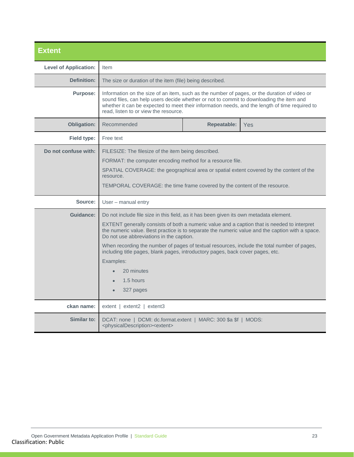<span id="page-22-0"></span>

| <b>Extent</b>                |                                                                                                                                                                                                                                                                                                                                                                                                                                                                                                                                                                            |  |  |
|------------------------------|----------------------------------------------------------------------------------------------------------------------------------------------------------------------------------------------------------------------------------------------------------------------------------------------------------------------------------------------------------------------------------------------------------------------------------------------------------------------------------------------------------------------------------------------------------------------------|--|--|
| <b>Level of Application:</b> | <b>Item</b>                                                                                                                                                                                                                                                                                                                                                                                                                                                                                                                                                                |  |  |
| <b>Definition:</b>           | The size or duration of the item (file) being described.                                                                                                                                                                                                                                                                                                                                                                                                                                                                                                                   |  |  |
| <b>Purpose:</b>              | Information on the size of an item, such as the number of pages, or the duration of video or<br>sound files, can help users decide whether or not to commit to downloading the item and<br>whether it can be expected to meet their information needs, and the length of time required to<br>read. listen to or view the resource.                                                                                                                                                                                                                                         |  |  |
| <b>Obligation:</b>           | Recommended<br>Repeatable:<br>Yes                                                                                                                                                                                                                                                                                                                                                                                                                                                                                                                                          |  |  |
| Field type:                  | Free text                                                                                                                                                                                                                                                                                                                                                                                                                                                                                                                                                                  |  |  |
| Do not confuse with:         | FILESIZE: The filesize of the item being described.<br>FORMAT: the computer encoding method for a resource file.<br>SPATIAL COVERAGE: the geographical area or spatial extent covered by the content of the<br>resource.<br>TEMPORAL COVERAGE: the time frame covered by the content of the resource.                                                                                                                                                                                                                                                                      |  |  |
| Source:                      | User – manual entry                                                                                                                                                                                                                                                                                                                                                                                                                                                                                                                                                        |  |  |
| Guidance:                    | Do not include file size in this field, as it has been given its own metadata element.<br>EXTENT generally consists of both a numeric value and a caption that is needed to interpret<br>the numeric value. Best practice is to separate the numeric value and the caption with a space.<br>Do not use abbreviations in the caption.<br>When recording the number of pages of textual resources, include the total number of pages,<br>including title pages, blank pages, introductory pages, back cover pages, etc.<br>Examples:<br>20 minutes<br>1.5 hours<br>327 pages |  |  |
| ckan name:                   | $extent$   extent2   extent3                                                                                                                                                                                                                                                                                                                                                                                                                                                                                                                                               |  |  |
| Similar to:                  | DCAT: none   DCMI: dc.format.extent   MARC: 300 \$a \$f   MODS:<br><physicaldescription><extent></extent></physicaldescription>                                                                                                                                                                                                                                                                                                                                                                                                                                            |  |  |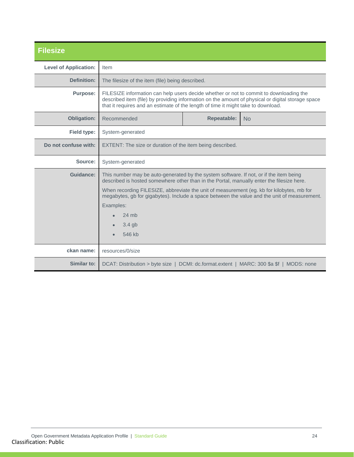<span id="page-23-0"></span>

| <b>Filesize</b>              |                                                                                                                                                                                                                                                                                  |                                                                                                                                                                                           |  |
|------------------------------|----------------------------------------------------------------------------------------------------------------------------------------------------------------------------------------------------------------------------------------------------------------------------------|-------------------------------------------------------------------------------------------------------------------------------------------------------------------------------------------|--|
| <b>Level of Application:</b> | Item                                                                                                                                                                                                                                                                             |                                                                                                                                                                                           |  |
| Definition:                  | The filesize of the item (file) being described.                                                                                                                                                                                                                                 |                                                                                                                                                                                           |  |
| <b>Purpose:</b>              | FILESIZE information can help users decide whether or not to commit to downloading the<br>described item (file) by providing information on the amount of physical or digital storage space<br>that it requires and an estimate of the length of time it might take to download. |                                                                                                                                                                                           |  |
| <b>Obligation:</b>           | Recommended<br><b>Repeatable:</b><br><b>No</b>                                                                                                                                                                                                                                   |                                                                                                                                                                                           |  |
| Field type:                  | System-generated                                                                                                                                                                                                                                                                 |                                                                                                                                                                                           |  |
| Do not confuse with:         | EXTENT: The size or duration of the item being described.                                                                                                                                                                                                                        |                                                                                                                                                                                           |  |
| Source:                      | System-generated                                                                                                                                                                                                                                                                 |                                                                                                                                                                                           |  |
| Guidance:                    | This number may be auto-generated by the system software. If not, or if the item being<br>described is hosted somewhere other than in the Portal, manually enter the filesize here.                                                                                              |                                                                                                                                                                                           |  |
|                              |                                                                                                                                                                                                                                                                                  | When recording FILESIZE, abbreviate the unit of measurement (eg. kb for kilobytes, mb for<br>megabytes, gb for gigabytes). Include a space between the value and the unit of measurement. |  |
|                              | Examples:                                                                                                                                                                                                                                                                        |                                                                                                                                                                                           |  |
|                              | 24 mb                                                                                                                                                                                                                                                                            |                                                                                                                                                                                           |  |
|                              | $3.4$ gb                                                                                                                                                                                                                                                                         |                                                                                                                                                                                           |  |
|                              | 546 kb                                                                                                                                                                                                                                                                           |                                                                                                                                                                                           |  |
| ckan name:                   | resources/0/size                                                                                                                                                                                                                                                                 |                                                                                                                                                                                           |  |
| Similar to:                  | DCAT: Distribution > byte size   DCMI: dc.format.extent   MARC: 300 \$a \$f   MODS: none                                                                                                                                                                                         |                                                                                                                                                                                           |  |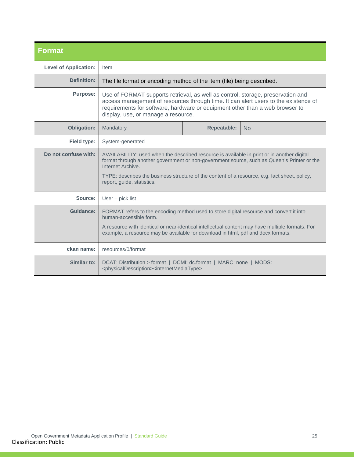<span id="page-24-0"></span>

| <b>Format</b>                |                                                                                                                                                                                                                                                                                                                                              |                    |    |
|------------------------------|----------------------------------------------------------------------------------------------------------------------------------------------------------------------------------------------------------------------------------------------------------------------------------------------------------------------------------------------|--------------------|----|
| <b>Level of Application:</b> | Item                                                                                                                                                                                                                                                                                                                                         |                    |    |
| Definition:                  | The file format or encoding method of the item (file) being described.                                                                                                                                                                                                                                                                       |                    |    |
| <b>Purpose:</b>              | Use of FORMAT supports retrieval, as well as control, storage, preservation and<br>access management of resources through time. It can alert users to the existence of<br>requirements for software, hardware or equipment other than a web browser to<br>display, use, or manage a resource.                                                |                    |    |
| <b>Obligation:</b>           | Mandatory                                                                                                                                                                                                                                                                                                                                    | <b>Repeatable:</b> | No |
| <b>Field type:</b>           | System-generated                                                                                                                                                                                                                                                                                                                             |                    |    |
| Do not confuse with:         | AVAILABILITY: used when the described resource is available in print or in another digital<br>format through another government or non-government source, such as Queen's Printer or the<br>Internet Archive.<br>TYPE: describes the business structure of the content of a resource, e.g. fact sheet, policy,<br>report, guide, statistics. |                    |    |
| Source:                      | User - pick list                                                                                                                                                                                                                                                                                                                             |                    |    |
| Guidance:                    | FORMAT refers to the encoding method used to store digital resource and convert it into<br>human-accessible form.<br>A resource with identical or near-identical intellectual content may have multiple formats. For<br>example, a resource may be available for download in html, pdf and docx formats.                                     |                    |    |
| ckan name:                   | resources/0/format                                                                                                                                                                                                                                                                                                                           |                    |    |
| Similar to:                  | DCAT: Distribution > format   DCMI: dc.format   MARC: none   MODS:<br><physicaldescription><internetmediatype></internetmediatype></physicaldescription>                                                                                                                                                                                     |                    |    |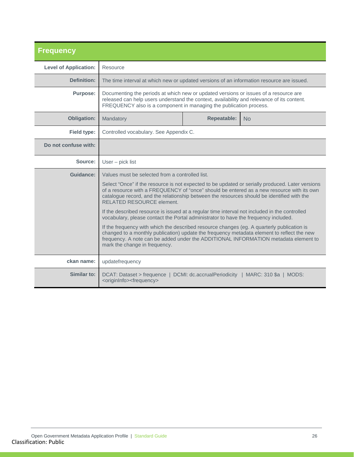<span id="page-25-0"></span>

| <b>Frequency</b>             |                                                                                                                                                                                                                                                                                                                          |  |                       |
|------------------------------|--------------------------------------------------------------------------------------------------------------------------------------------------------------------------------------------------------------------------------------------------------------------------------------------------------------------------|--|-----------------------|
| <b>Level of Application:</b> | Resource                                                                                                                                                                                                                                                                                                                 |  |                       |
| Definition:                  | The time interval at which new or updated versions of an information resource are issued.                                                                                                                                                                                                                                |  |                       |
| <b>Purpose:</b>              | Documenting the periods at which new or updated versions or issues of a resource are<br>released can help users understand the context, availability and relevance of its content.<br>FREQUENCY also is a component in managing the publication process.                                                                 |  |                       |
| <b>Obligation:</b>           | Mandatory<br><b>Repeatable:</b><br><b>No</b>                                                                                                                                                                                                                                                                             |  |                       |
| <b>Field type:</b>           | Controlled vocabulary. See Appendix C.                                                                                                                                                                                                                                                                                   |  |                       |
| Do not confuse with:         |                                                                                                                                                                                                                                                                                                                          |  |                       |
| Source:                      | $User - pick list$                                                                                                                                                                                                                                                                                                       |  |                       |
| Guidance:                    | Values must be selected from a controlled list.                                                                                                                                                                                                                                                                          |  |                       |
|                              | Select "Once" if the resource is not expected to be updated or serially produced. Later versions<br>of a resource with a FREQUENCY of "once" should be entered as a new resource with its own<br>catalogue record, and the relationship between the resources should be identified with the<br>RELATED RESOURCE element. |  |                       |
|                              | If the described resource is issued at a regular time interval not included in the controlled<br>vocabulary, please contact the Portal administrator to have the frequency included.                                                                                                                                     |  |                       |
|                              | If the frequency with which the described resource changes (eg. A quarterly publication is<br>changed to a monthly publication) update the frequency metadata element to reflect the new<br>frequency. A note can be added under the ADDITIONAL INFORMATION metadata element to<br>mark the change in frequency.         |  |                       |
| ckan name:                   | updatefrequency                                                                                                                                                                                                                                                                                                          |  |                       |
| Similar to:                  | DCAT: Dataset > frequence   DCMI: dc.accrualPeriodicity  <br><origininfo><frequency></frequency></origininfo>                                                                                                                                                                                                            |  | MARC: 310 \$a   MODS: |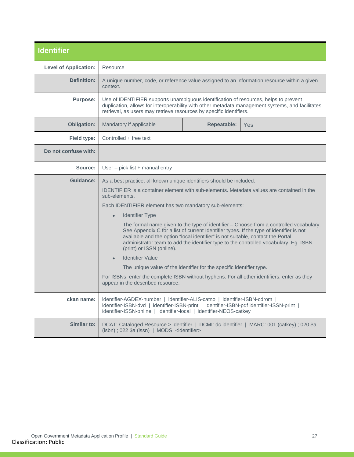<span id="page-26-0"></span>

| <b>Identifier</b>            |                                                                                                                                                                                                                                                                                                                                                                                           |  |  |
|------------------------------|-------------------------------------------------------------------------------------------------------------------------------------------------------------------------------------------------------------------------------------------------------------------------------------------------------------------------------------------------------------------------------------------|--|--|
| <b>Level of Application:</b> | Resource                                                                                                                                                                                                                                                                                                                                                                                  |  |  |
| Definition:                  | A unique number, code, or reference value assigned to an information resource within a given<br>context.                                                                                                                                                                                                                                                                                  |  |  |
| <b>Purpose:</b>              | Use of IDENTIFIER supports unambiguous identification of resources, helps to prevent<br>duplication, allows for interoperability with other metadata management systems, and facilitates<br>retrieval, as users may retrieve resources by specific identifiers.                                                                                                                           |  |  |
| <b>Obligation:</b>           | <b>Repeatable:</b><br>Mandatory if applicable<br>Yes                                                                                                                                                                                                                                                                                                                                      |  |  |
| Field type:                  | Controlled + free text                                                                                                                                                                                                                                                                                                                                                                    |  |  |
| Do not confuse with:         |                                                                                                                                                                                                                                                                                                                                                                                           |  |  |
| Source:                      | User - pick list + manual entry                                                                                                                                                                                                                                                                                                                                                           |  |  |
| Guidance:                    | As a best practice, all known unique identifiers should be included.                                                                                                                                                                                                                                                                                                                      |  |  |
|                              | <b>IDENTIFIER</b> is a container element with sub-elements. Metadata values are contained in the<br>sub-elements.                                                                                                                                                                                                                                                                         |  |  |
|                              | Each IDENTIFIER element has two mandatory sub-elements:                                                                                                                                                                                                                                                                                                                                   |  |  |
|                              | <b>Identifier Type</b><br>$\bullet$                                                                                                                                                                                                                                                                                                                                                       |  |  |
|                              | The formal name given to the type of identifier - Choose from a controlled vocabulary.<br>See Appendix C for a list of current Identifier types. If the type of identifier is not<br>available and the option "local identifier" is not suitable, contact the Portal<br>administrator team to add the identifier type to the controlled vocabulary. Eg. ISBN<br>(print) or ISSN (online). |  |  |
|                              | <b>Identifier Value</b>                                                                                                                                                                                                                                                                                                                                                                   |  |  |
|                              | The unique value of the identifier for the specific identifier type.                                                                                                                                                                                                                                                                                                                      |  |  |
|                              | For ISBNs, enter the complete ISBN without hyphens. For all other identifiers, enter as they<br>appear in the described resource.                                                                                                                                                                                                                                                         |  |  |
| ckan name:                   | identifier-AGDEX-number   identifier-ALIS-catno   identifier-ISBN-cdrom  <br>identifier-ISBN-dvd   identifier-ISBN-print   identifier-ISBN-pdf identifier-ISSN-print  <br>identifier-ISSN-online   identifier-local   identifier-NEOS-catkey                                                                                                                                              |  |  |
| Similar to:                  | DCAT: Cataloged Resource > identifier   DCMI: dc.identifier   MARC: 001 (catkey) ; 020 \$a<br>(isbn); 022 \$a (issn)   MODS: <identifier></identifier>                                                                                                                                                                                                                                    |  |  |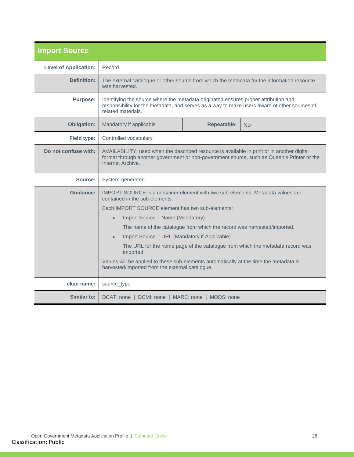<span id="page-27-0"></span>

| <b>Import Source</b>         |                                                                                                                                                                                                               |  |                                                                               |
|------------------------------|---------------------------------------------------------------------------------------------------------------------------------------------------------------------------------------------------------------|--|-------------------------------------------------------------------------------|
| <b>Level of Application:</b> | Record                                                                                                                                                                                                        |  |                                                                               |
| Definition:                  | The external catalogue or other source from which the metadata for the information resource<br>was harvested.                                                                                                 |  |                                                                               |
| <b>Purpose:</b>              | Identifying the source where the metadata originated ensures proper attribution and<br>responsibility for the metadata, and serves as a way to make users aware of other sources of<br>related materials.     |  |                                                                               |
| <b>Obligation:</b>           | <b>Repeatable:</b><br>Mandatory if applicable<br>No                                                                                                                                                           |  |                                                                               |
| Field type:                  | Controlled vocabulary                                                                                                                                                                                         |  |                                                                               |
| Do not confuse with:         | AVAILABILITY: used when the described resource is available in print or in another digital<br>format through another government or non-government source, such as Queen's Printer or the<br>Internet Archive. |  |                                                                               |
| Source:                      | System-generated                                                                                                                                                                                              |  |                                                                               |
| Guidance:                    | IMPORT SOURCE is a container element with two sub-elements. Metadata values are<br>contained in the sub-elements.                                                                                             |  |                                                                               |
|                              | Each IMPORT SOURCE element has two sub-elements:                                                                                                                                                              |  |                                                                               |
|                              | Import Source - Name (Mandatory)<br>$\bullet$                                                                                                                                                                 |  |                                                                               |
|                              | The name of the catalogue from which the record was harvested/imported.                                                                                                                                       |  |                                                                               |
|                              | Import Source - URL (Mandatory if Applicable)<br>$\bullet$                                                                                                                                                    |  |                                                                               |
|                              | imported.                                                                                                                                                                                                     |  | The URL for the home page of the catalogue from which the metadata record was |
|                              | Values will be applied to these sub-elements automatically at the time the metadata is<br>harvested/imported from the external catalogue.                                                                     |  |                                                                               |
|                              |                                                                                                                                                                                                               |  |                                                                               |
| ckan name:                   | source_type                                                                                                                                                                                                   |  |                                                                               |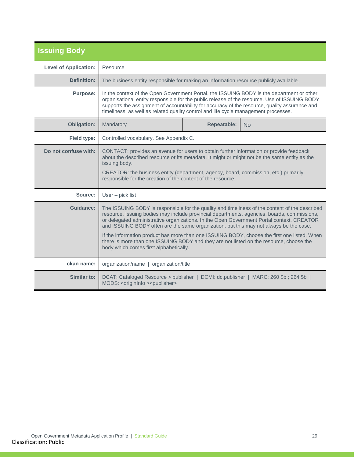<span id="page-28-0"></span>

| <b>Issuing Body</b>          |                                                                                                                                                                                                                                                                                                                                                                                                                                                                                                                                                                                                                           |                           |  |  |  |
|------------------------------|---------------------------------------------------------------------------------------------------------------------------------------------------------------------------------------------------------------------------------------------------------------------------------------------------------------------------------------------------------------------------------------------------------------------------------------------------------------------------------------------------------------------------------------------------------------------------------------------------------------------------|---------------------------|--|--|--|
| <b>Level of Application:</b> | Resource                                                                                                                                                                                                                                                                                                                                                                                                                                                                                                                                                                                                                  |                           |  |  |  |
| Definition:                  | The business entity responsible for making an information resource publicly available.                                                                                                                                                                                                                                                                                                                                                                                                                                                                                                                                    |                           |  |  |  |
| <b>Purpose:</b>              | In the context of the Open Government Portal, the ISSUING BODY is the department or other<br>organisational entity responsible for the public release of the resource. Use of ISSUING BODY<br>supports the assignment of accountability for accuracy of the resource, quality assurance and<br>timeliness, as well as related quality control and life cycle management processes.                                                                                                                                                                                                                                        |                           |  |  |  |
| <b>Obligation:</b>           | Mandatory                                                                                                                                                                                                                                                                                                                                                                                                                                                                                                                                                                                                                 | <b>Repeatable:</b><br>No. |  |  |  |
| Field type:                  | Controlled vocabulary. See Appendix C.                                                                                                                                                                                                                                                                                                                                                                                                                                                                                                                                                                                    |                           |  |  |  |
| Do not confuse with:         | CONTACT: provides an avenue for users to obtain further information or provide feedback<br>about the described resource or its metadata. It might or might not be the same entity as the<br>issuing body.<br>CREATOR: the business entity (department, agency, board, commission, etc.) primarily<br>responsible for the creation of the content of the resource.                                                                                                                                                                                                                                                         |                           |  |  |  |
| Source:                      | User - pick list                                                                                                                                                                                                                                                                                                                                                                                                                                                                                                                                                                                                          |                           |  |  |  |
| Guidance:                    | The ISSUING BODY is responsible for the quality and timeliness of the content of the described<br>resource. Issuing bodies may include provincial departments, agencies, boards, commissions,<br>or delegated administrative organizations. In the Open Government Portal context, CREATOR<br>and ISSUING BODY often are the same organization, but this may not always be the case.<br>If the information product has more than one ISSUING BODY, choose the first one listed. When<br>there is more than one ISSUING BODY and they are not listed on the resource, choose the<br>body which comes first alphabetically. |                           |  |  |  |
| ckan name:                   | organization/name   organization/title                                                                                                                                                                                                                                                                                                                                                                                                                                                                                                                                                                                    |                           |  |  |  |
| Similar to:                  | DCAT: Cataloged Resource > publisher   DCMI: dc.publisher   MARC: 260 \$b; 264 \$b  <br>MODS: < originInfo > < publisher>                                                                                                                                                                                                                                                                                                                                                                                                                                                                                                 |                           |  |  |  |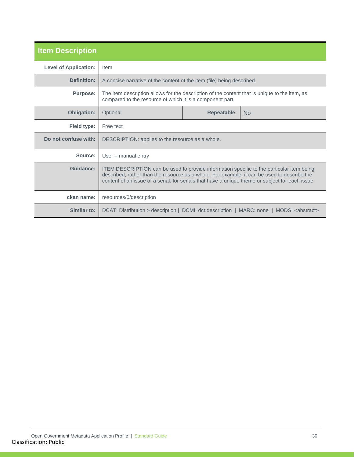<span id="page-29-0"></span>

| <b>Item Description</b>      |                                                                                                                                                                                                                                                                                              |                    |           |
|------------------------------|----------------------------------------------------------------------------------------------------------------------------------------------------------------------------------------------------------------------------------------------------------------------------------------------|--------------------|-----------|
| <b>Level of Application:</b> | Item                                                                                                                                                                                                                                                                                         |                    |           |
| <b>Definition:</b>           | A concise narrative of the content of the item (file) being described.                                                                                                                                                                                                                       |                    |           |
| <b>Purpose:</b>              | The item description allows for the description of the content that is unique to the item, as<br>compared to the resource of which it is a component part.                                                                                                                                   |                    |           |
| <b>Obligation:</b>           | Optional                                                                                                                                                                                                                                                                                     | <b>Repeatable:</b> | <b>No</b> |
| Field type:                  | Free text                                                                                                                                                                                                                                                                                    |                    |           |
| Do not confuse with:         | DESCRIPTION: applies to the resource as a whole.                                                                                                                                                                                                                                             |                    |           |
| Source:                      | User – manual entry                                                                                                                                                                                                                                                                          |                    |           |
| Guidance:                    | ITEM DESCRIPTION can be used to provide information specific to the particular item being<br>described, rather than the resource as a whole. For example, it can be used to describe the<br>content of an issue of a serial, for serials that have a unique theme or subject for each issue. |                    |           |
| ckan name:                   | resources/0/description                                                                                                                                                                                                                                                                      |                    |           |
| Similar to:                  | DCAT: Distribution > description   DCMI: dct:description   MARC: none   MODS: <abstract></abstract>                                                                                                                                                                                          |                    |           |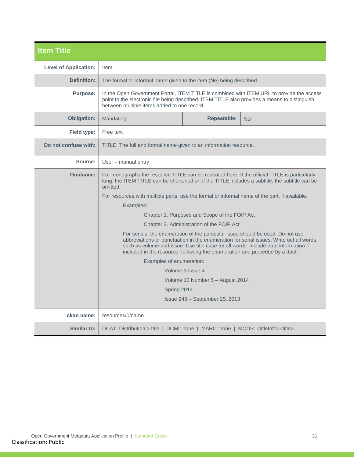<span id="page-30-0"></span>

| <b>Item Title</b>            |                                                                                                                                                                                                                                                                                                                                                                                                                                                                                                                                                                                                                                                                                                                                                                                                                                                                                                                     |                                 |                                                                                           |  |
|------------------------------|---------------------------------------------------------------------------------------------------------------------------------------------------------------------------------------------------------------------------------------------------------------------------------------------------------------------------------------------------------------------------------------------------------------------------------------------------------------------------------------------------------------------------------------------------------------------------------------------------------------------------------------------------------------------------------------------------------------------------------------------------------------------------------------------------------------------------------------------------------------------------------------------------------------------|---------------------------------|-------------------------------------------------------------------------------------------|--|
| <b>Level of Application:</b> | Item                                                                                                                                                                                                                                                                                                                                                                                                                                                                                                                                                                                                                                                                                                                                                                                                                                                                                                                |                                 |                                                                                           |  |
| <b>Definition:</b>           | The formal or informal name given to the item (file) being described.                                                                                                                                                                                                                                                                                                                                                                                                                                                                                                                                                                                                                                                                                                                                                                                                                                               |                                 |                                                                                           |  |
| <b>Purpose:</b>              | point to the electronic file being described. ITEM TITLE also provides a means to distinguish<br>between multiple items added to one record.                                                                                                                                                                                                                                                                                                                                                                                                                                                                                                                                                                                                                                                                                                                                                                        |                                 | In the Open Government Portal, ITEM TITLE is combined with ITEM URL to provide the access |  |
| <b>Obligation:</b>           | Mandatory                                                                                                                                                                                                                                                                                                                                                                                                                                                                                                                                                                                                                                                                                                                                                                                                                                                                                                           | <b>Repeatable:</b><br><b>No</b> |                                                                                           |  |
| Field type:                  | Free text                                                                                                                                                                                                                                                                                                                                                                                                                                                                                                                                                                                                                                                                                                                                                                                                                                                                                                           |                                 |                                                                                           |  |
| Do not confuse with:         | TITLE: The full and formal name given to an information resource.                                                                                                                                                                                                                                                                                                                                                                                                                                                                                                                                                                                                                                                                                                                                                                                                                                                   |                                 |                                                                                           |  |
| Source:                      | User – manual entry                                                                                                                                                                                                                                                                                                                                                                                                                                                                                                                                                                                                                                                                                                                                                                                                                                                                                                 |                                 |                                                                                           |  |
| Guidance:                    | For monographs the resource TITLE can be repeated here. If the official TITLE is particularly<br>long, the ITEM TITLE can be shortened or, if the TITLE includes a subtitle, the subtitle can be<br>omitted.<br>For resources with multiple parts, use the formal or informal name of the part, if available.<br>Examples:<br>Chapter 1. Purposes and Scope of the FOIP Act<br>Chapter 2. Administration of the FOIP Act<br>For serials, the enumeration of the particular issue should be used. Do not use<br>abbreviations or punctuation in the enumeration for serial issues. Write out all words,<br>such as volume and issue. Use title case for all words. Include date information if<br>included in the resource, following the enumeration and preceded by a dash<br>Examples of enumeration:<br>Volume 3 Issue 4<br>Volume 12 Number 5 - August 2014<br>Spring 2014<br>$Is sue 243 - September 25, 2013$ |                                 |                                                                                           |  |
| ckan name:                   | resources/0/name                                                                                                                                                                                                                                                                                                                                                                                                                                                                                                                                                                                                                                                                                                                                                                                                                                                                                                    |                                 |                                                                                           |  |
| Similar to:                  | DCAT: Distribution > title   DCMI: none   MARC: none   MODS: <titleinfo><title></title></titleinfo>                                                                                                                                                                                                                                                                                                                                                                                                                                                                                                                                                                                                                                                                                                                                                                                                                 |                                 |                                                                                           |  |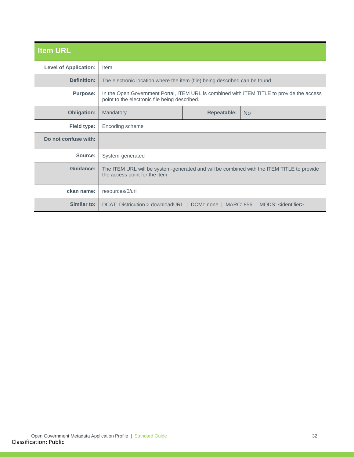<span id="page-31-0"></span>

| <b>Item URL</b>              |                                                                                                                                            |                    |                |
|------------------------------|--------------------------------------------------------------------------------------------------------------------------------------------|--------------------|----------------|
| <b>Level of Application:</b> | Item                                                                                                                                       |                    |                |
| <b>Definition:</b>           | The electronic location where the item (file) being described can be found.                                                                |                    |                |
| <b>Purpose:</b>              | In the Open Government Portal, ITEM URL is combined with ITEM TITLE to provide the access<br>point to the electronic file being described. |                    |                |
| <b>Obligation:</b>           | Mandatory                                                                                                                                  | <b>Repeatable:</b> | N <sub>o</sub> |
| Field type:                  | Encoding scheme                                                                                                                            |                    |                |
| Do not confuse with:         |                                                                                                                                            |                    |                |
| Source:                      | System-generated                                                                                                                           |                    |                |
| <b>Guidance:</b>             | The ITEM URL will be system-generated and will be combined with the ITEM TITLE to provide<br>the access point for the item.                |                    |                |
| ckan name:                   | resources/0/url                                                                                                                            |                    |                |
| Similar to:                  | DCAT: Districution > downloadURL   DCMI: none   MARC: 856   MODS: <identifier></identifier>                                                |                    |                |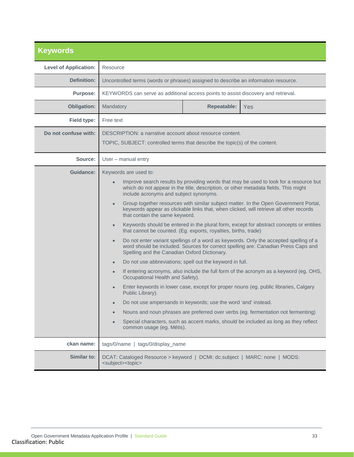<span id="page-32-0"></span>

| <b>Keywords</b>              |                                                                                                                                                                                                                                                                                                                                                                                                                                                                                                                                                                                                                                                                                                                                                                                                                                                                                                                                                                                                                                                                                                                                                                                                                             |                    |                                                                                      |
|------------------------------|-----------------------------------------------------------------------------------------------------------------------------------------------------------------------------------------------------------------------------------------------------------------------------------------------------------------------------------------------------------------------------------------------------------------------------------------------------------------------------------------------------------------------------------------------------------------------------------------------------------------------------------------------------------------------------------------------------------------------------------------------------------------------------------------------------------------------------------------------------------------------------------------------------------------------------------------------------------------------------------------------------------------------------------------------------------------------------------------------------------------------------------------------------------------------------------------------------------------------------|--------------------|--------------------------------------------------------------------------------------|
| <b>Level of Application:</b> | Resource                                                                                                                                                                                                                                                                                                                                                                                                                                                                                                                                                                                                                                                                                                                                                                                                                                                                                                                                                                                                                                                                                                                                                                                                                    |                    |                                                                                      |
| <b>Definition:</b>           | Uncontrolled terms (words or phrases) assigned to describe an information resource.                                                                                                                                                                                                                                                                                                                                                                                                                                                                                                                                                                                                                                                                                                                                                                                                                                                                                                                                                                                                                                                                                                                                         |                    |                                                                                      |
| <b>Purpose:</b>              | KEYWORDS can serve as additional access points to assist discovery and retrieval.                                                                                                                                                                                                                                                                                                                                                                                                                                                                                                                                                                                                                                                                                                                                                                                                                                                                                                                                                                                                                                                                                                                                           |                    |                                                                                      |
| <b>Obligation:</b>           | Mandatory                                                                                                                                                                                                                                                                                                                                                                                                                                                                                                                                                                                                                                                                                                                                                                                                                                                                                                                                                                                                                                                                                                                                                                                                                   | <b>Repeatable:</b> | Yes                                                                                  |
| <b>Field type:</b>           | Free text                                                                                                                                                                                                                                                                                                                                                                                                                                                                                                                                                                                                                                                                                                                                                                                                                                                                                                                                                                                                                                                                                                                                                                                                                   |                    |                                                                                      |
| Do not confuse with:         | DESCRIPTION: a narrative account about resource content.                                                                                                                                                                                                                                                                                                                                                                                                                                                                                                                                                                                                                                                                                                                                                                                                                                                                                                                                                                                                                                                                                                                                                                    |                    |                                                                                      |
|                              | TOPIC, SUBJECT: controlled terms that describe the topic(s) of the content.                                                                                                                                                                                                                                                                                                                                                                                                                                                                                                                                                                                                                                                                                                                                                                                                                                                                                                                                                                                                                                                                                                                                                 |                    |                                                                                      |
| Source:                      | User - manual entry                                                                                                                                                                                                                                                                                                                                                                                                                                                                                                                                                                                                                                                                                                                                                                                                                                                                                                                                                                                                                                                                                                                                                                                                         |                    |                                                                                      |
| <b>Guidance:</b>             | Keywords are used to:                                                                                                                                                                                                                                                                                                                                                                                                                                                                                                                                                                                                                                                                                                                                                                                                                                                                                                                                                                                                                                                                                                                                                                                                       |                    |                                                                                      |
|                              | Improve search results by providing words that may be used to look for a resource but<br>$\bullet$<br>which do not appear in the title, description, or other metadata fields. This might<br>include acronyms and subject synonyms.<br>Group together resources with similar subject matter. In the Open Government Portal,<br>$\bullet$<br>keywords appear as clickable links that, when clicked, will retrieve all other records<br>that contain the same keyword.<br>Keywords should be entered in the plural form, except for abstract concepts or entities<br>$\bullet$<br>that cannot be counted. (Eg. exports, royalties, births, trade)<br>Do not enter variant spellings of a word as keywords. Only the accepted spelling of a<br>$\bullet$<br>word should be included. Sources for correct spelling are: Canadian Press Caps and<br>Spelling and the Canadian Oxford Dictionary.<br>Do not use abbreviations; spell out the keyword in full.<br>$\bullet$<br>If entering acronyms, also include the full form of the acronym as a keyword (eg. OHS,<br>$\bullet$<br>Occupational Health and Safety).<br>Enter keywords in lower case, except for proper nouns (eg. public libraries, Calgary<br>Public Library). |                    |                                                                                      |
|                              | Do not use ampersands in keywords; use the word 'and' instead.<br>$\bullet$                                                                                                                                                                                                                                                                                                                                                                                                                                                                                                                                                                                                                                                                                                                                                                                                                                                                                                                                                                                                                                                                                                                                                 |                    | Nouns and noun phrases are preferred over verbs (eg. fermentation not fermenting)    |
|                              | $\bullet$<br>common usage (eg. Métis).                                                                                                                                                                                                                                                                                                                                                                                                                                                                                                                                                                                                                                                                                                                                                                                                                                                                                                                                                                                                                                                                                                                                                                                      |                    | Special characters, such as accent marks, should be included as long as they reflect |
| ckan name:                   | tags/0/name   tags/0/display_name                                                                                                                                                                                                                                                                                                                                                                                                                                                                                                                                                                                                                                                                                                                                                                                                                                                                                                                                                                                                                                                                                                                                                                                           |                    |                                                                                      |
| Similar to:                  | DCAT: Cataloged Resource > keyword   DCMI: dc.subject   MARC: none   MODS:<br><subject><topic></topic></subject>                                                                                                                                                                                                                                                                                                                                                                                                                                                                                                                                                                                                                                                                                                                                                                                                                                                                                                                                                                                                                                                                                                            |                    |                                                                                      |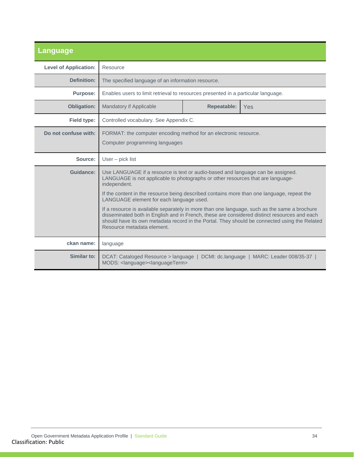<span id="page-33-0"></span>

| <b>Language</b>              |                                                                                                                                                                                                                                                                                                                             |                    |                                            |
|------------------------------|-----------------------------------------------------------------------------------------------------------------------------------------------------------------------------------------------------------------------------------------------------------------------------------------------------------------------------|--------------------|--------------------------------------------|
| <b>Level of Application:</b> | Resource                                                                                                                                                                                                                                                                                                                    |                    |                                            |
| Definition:                  | The specified language of an information resource.                                                                                                                                                                                                                                                                          |                    |                                            |
| <b>Purpose:</b>              | Enables users to limit retrieval to resources presented in a particular language.                                                                                                                                                                                                                                           |                    |                                            |
| <b>Obligation:</b>           | <b>Mandatory if Applicable</b>                                                                                                                                                                                                                                                                                              | <b>Repeatable:</b> | <b>Yes</b>                                 |
| Field type:                  | Controlled vocabulary. See Appendix C.                                                                                                                                                                                                                                                                                      |                    |                                            |
| Do not confuse with:         | FORMAT: the computer encoding method for an electronic resource.<br>Computer programming languages                                                                                                                                                                                                                          |                    |                                            |
| Source:                      | $User - pick list$                                                                                                                                                                                                                                                                                                          |                    |                                            |
| Guidance:                    | Use LANGUAGE if a resource is text or audio-based and language can be assigned.<br>LANGUAGE is not applicable to photographs or other resources that are language-<br>independent.<br>If the content in the resource being described contains more than one language, repeat the                                            |                    |                                            |
|                              | LANGUAGE element for each language used.                                                                                                                                                                                                                                                                                    |                    |                                            |
|                              | If a resource is available separately in more than one language, such as the same a brochure<br>disseminated both in English and in French, these are considered distinct resources and each<br>should have its own metadata record in the Portal. They should be connected using the Related<br>Resource metadata element. |                    |                                            |
| ckan name:                   | language                                                                                                                                                                                                                                                                                                                    |                    |                                            |
| Similar to:                  | DCAT: Cataloged Resource > language<br>MODS: <language><languageterm></languageterm></language>                                                                                                                                                                                                                             |                    | DCMI: dc.language   MARC: Leader 008/35-37 |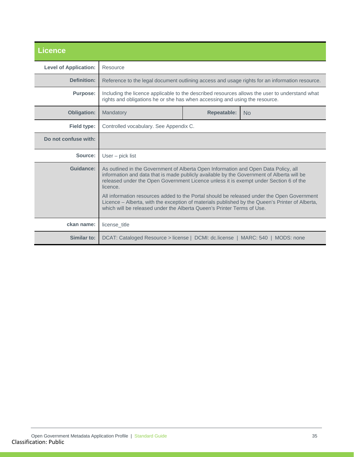<span id="page-34-0"></span>

| <b>Licence</b>               |                                                                                                                                                                                                                                                                                                                                                                                                                                                                                                                                                                  |  |                                                                                                |  |
|------------------------------|------------------------------------------------------------------------------------------------------------------------------------------------------------------------------------------------------------------------------------------------------------------------------------------------------------------------------------------------------------------------------------------------------------------------------------------------------------------------------------------------------------------------------------------------------------------|--|------------------------------------------------------------------------------------------------|--|
| <b>Level of Application:</b> | Resource                                                                                                                                                                                                                                                                                                                                                                                                                                                                                                                                                         |  |                                                                                                |  |
| Definition:                  |                                                                                                                                                                                                                                                                                                                                                                                                                                                                                                                                                                  |  | Reference to the legal document outlining access and usage rights for an information resource. |  |
| <b>Purpose:</b>              | Including the licence applicable to the described resources allows the user to understand what<br>rights and obligations he or she has when accessing and using the resource.                                                                                                                                                                                                                                                                                                                                                                                    |  |                                                                                                |  |
| <b>Obligation:</b>           | <b>Repeatable:</b><br>Mandatory<br>N <sub>o</sub>                                                                                                                                                                                                                                                                                                                                                                                                                                                                                                                |  |                                                                                                |  |
| Field type:                  | Controlled vocabulary. See Appendix C.                                                                                                                                                                                                                                                                                                                                                                                                                                                                                                                           |  |                                                                                                |  |
| Do not confuse with:         |                                                                                                                                                                                                                                                                                                                                                                                                                                                                                                                                                                  |  |                                                                                                |  |
| Source:                      | $User - pick list$                                                                                                                                                                                                                                                                                                                                                                                                                                                                                                                                               |  |                                                                                                |  |
| Guidance:                    | As outlined in the Government of Alberta Open Information and Open Data Policy, all<br>information and data that is made publicly available by the Government of Alberta will be<br>released under the Open Government Licence unless it is exempt under Section 6 of the<br>licence.<br>All information resources added to the Portal should be released under the Open Government<br>Licence - Alberta, with the exception of materials published by the Queen's Printer of Alberta,<br>which will be released under the Alberta Queen's Printer Terms of Use. |  |                                                                                                |  |
| ckan name:                   | license title                                                                                                                                                                                                                                                                                                                                                                                                                                                                                                                                                    |  |                                                                                                |  |
| Similar to:                  | DCAT: Cataloged Resource > license   DCMI: dc.license   MARC: 540   MODS: none                                                                                                                                                                                                                                                                                                                                                                                                                                                                                   |  |                                                                                                |  |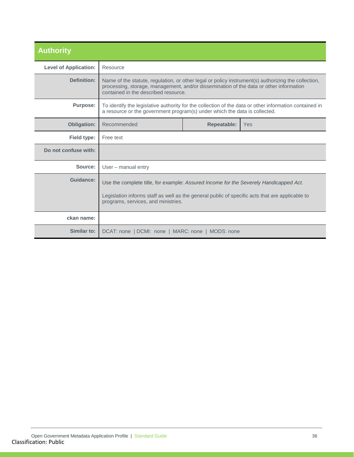<span id="page-35-0"></span>

| <b>Authority</b>             |                                                                                                                                                                                                                                       |                    |     |
|------------------------------|---------------------------------------------------------------------------------------------------------------------------------------------------------------------------------------------------------------------------------------|--------------------|-----|
| <b>Level of Application:</b> | Resource                                                                                                                                                                                                                              |                    |     |
| Definition:                  | Name of the statute, regulation, or other legal or policy instrument(s) authorizing the collection,<br>processing, storage, management, and/or dissemination of the data or other information<br>contained in the described resource. |                    |     |
| <b>Purpose:</b>              | To identify the legislative authority for the collection of the data or other information contained in<br>a resource or the government program(s) under which the data is collected.                                                  |                    |     |
| <b>Obligation:</b>           | Recommended                                                                                                                                                                                                                           | <b>Repeatable:</b> | Yes |
| Field type:                  | Free text                                                                                                                                                                                                                             |                    |     |
| Do not confuse with:         |                                                                                                                                                                                                                                       |                    |     |
| Source:                      | User – manual entry                                                                                                                                                                                                                   |                    |     |
| <b>Guidance:</b>             | Use the complete title, for example: Assured Income for the Severely Handicapped Act.                                                                                                                                                 |                    |     |
|                              | Legislation informs staff as well as the general public of specific acts that are applicable to<br>programs, services, and ministries.                                                                                                |                    |     |
| ckan name:                   |                                                                                                                                                                                                                                       |                    |     |
| Similar to:                  | DCAT: none   DCMI: none   MARC: none   MODS: none                                                                                                                                                                                     |                    |     |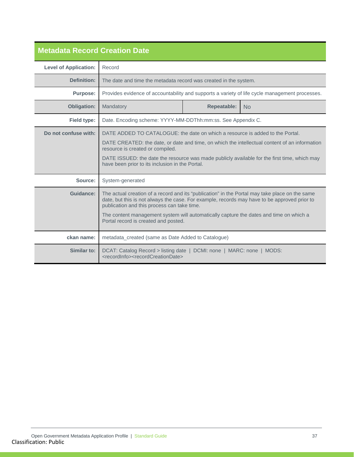<span id="page-36-0"></span>

| <b>Metadata Record Creation Date</b> |                                                                                                                                                                                                                                                                                                                                                                                 |  |                                                                                                |
|--------------------------------------|---------------------------------------------------------------------------------------------------------------------------------------------------------------------------------------------------------------------------------------------------------------------------------------------------------------------------------------------------------------------------------|--|------------------------------------------------------------------------------------------------|
| <b>Level of Application:</b>         | Record                                                                                                                                                                                                                                                                                                                                                                          |  |                                                                                                |
| Definition:                          | The date and time the metadata record was created in the system.                                                                                                                                                                                                                                                                                                                |  |                                                                                                |
| <b>Purpose:</b>                      |                                                                                                                                                                                                                                                                                                                                                                                 |  | Provides evidence of accountability and supports a variety of life cycle management processes. |
| <b>Obligation:</b>                   | <b>Repeatable:</b><br>Mandatory<br><b>No</b>                                                                                                                                                                                                                                                                                                                                    |  |                                                                                                |
| <b>Field type:</b>                   | Date. Encoding scheme: YYYY-MM-DDThh:mm:ss. See Appendix C.                                                                                                                                                                                                                                                                                                                     |  |                                                                                                |
| Do not confuse with:                 | DATE ADDED TO CATALOGUE: the date on which a resource is added to the Portal.<br>DATE CREATED: the date, or date and time, on which the intellectual content of an information<br>resource is created or compiled.<br>DATE ISSUED: the date the resource was made publicly available for the first time, which may<br>have been prior to its inclusion in the Portal.           |  |                                                                                                |
| Source:                              | System-generated                                                                                                                                                                                                                                                                                                                                                                |  |                                                                                                |
| Guidance:                            | The actual creation of a record and its "publication" in the Portal may take place on the same<br>date, but this is not always the case. For example, records may have to be approved prior to<br>publication and this process can take time.<br>The content management system will automatically capture the dates and time on which a<br>Portal record is created and posted. |  |                                                                                                |
| ckan name:                           | metadata_created (same as Date Added to Catalogue)                                                                                                                                                                                                                                                                                                                              |  |                                                                                                |
| Similar to:                          | DCAT: Catalog Record > listing date   DCMI: none   MARC: none   MODS:<br><recordinfo><recordcreationdate></recordcreationdate></recordinfo>                                                                                                                                                                                                                                     |  |                                                                                                |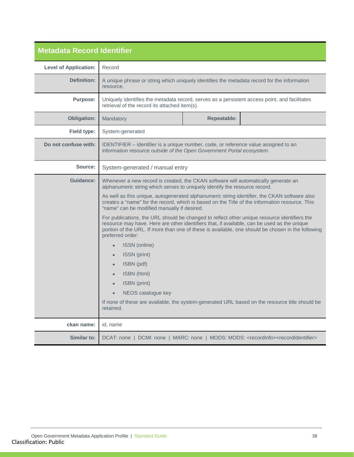<span id="page-37-0"></span>

| <b>Metadata Record Identifier</b> |                                                                                                                                                                                                                                                                                                                      |  |  |
|-----------------------------------|----------------------------------------------------------------------------------------------------------------------------------------------------------------------------------------------------------------------------------------------------------------------------------------------------------------------|--|--|
| <b>Level of Application:</b>      | Record                                                                                                                                                                                                                                                                                                               |  |  |
| Definition:                       | A unique phrase or string which uniquely identifies the metadata record for the information<br>resource.                                                                                                                                                                                                             |  |  |
| <b>Purpose:</b>                   | Uniquely identifies the metadata record, serves as a persistent access point, and facilitates<br>retrieval of the record its attached item(s).                                                                                                                                                                       |  |  |
| <b>Obligation:</b>                | Mandatory<br><b>Repeatable:</b>                                                                                                                                                                                                                                                                                      |  |  |
| Field type:                       | System-generated                                                                                                                                                                                                                                                                                                     |  |  |
| Do not confuse with:              | IDENTIFIER - identifier is a unique number, code, or reference value assigned to an<br>information resource outside of the Open Government Portal ecosystem.                                                                                                                                                         |  |  |
| Source:                           | System-generated / manual entry                                                                                                                                                                                                                                                                                      |  |  |
| Guidance:                         | Whenever a new record is created, the CKAN software will automatically generate an<br>alphanumeric string which serves to uniquely identify the resource record.                                                                                                                                                     |  |  |
|                                   | As well as this unique, autogenerated alphanumeric string identifier, the CKAN software also<br>creates a "name" for the record, which is based on the Title of the information resource. This<br>"name" can be modified manually if desired.                                                                        |  |  |
|                                   | For publications, the URL should be changed to reflect other unique resource identifiers the<br>resource may have. Here are other identifiers that, if available, can be used as the unique<br>portion of the URL. If more than one of these is available, one should be chosen in the following<br>preferred order: |  |  |
|                                   | ISSN (online)<br>$\bullet$                                                                                                                                                                                                                                                                                           |  |  |
|                                   | ISSN (print)<br>$\bullet$                                                                                                                                                                                                                                                                                            |  |  |
|                                   | ISBN (pdf)                                                                                                                                                                                                                                                                                                           |  |  |
|                                   | ISBN (html)                                                                                                                                                                                                                                                                                                          |  |  |
|                                   | ISBN (print)<br>NEOS catalogue key                                                                                                                                                                                                                                                                                   |  |  |
|                                   | If none of these are available, the system-generated URL based on the resource title should be<br>retained.                                                                                                                                                                                                          |  |  |
| ckan name:                        | id, name                                                                                                                                                                                                                                                                                                             |  |  |
| Similar to:                       | DCAT: none   DCMI: none   MARC: none   MODS: MODS: <recordinfo><recordidentifier></recordidentifier></recordinfo>                                                                                                                                                                                                    |  |  |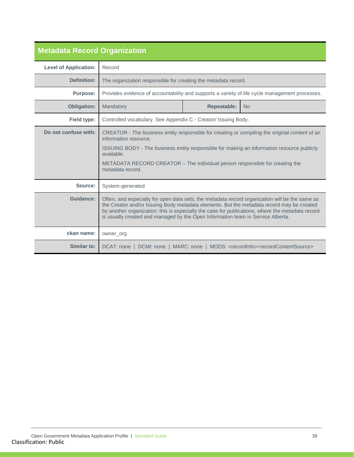<span id="page-38-0"></span>

| <b>Metadata Record Organization</b> |                                                                                                                                                                                                                                                                                                                                                                                    |                    |                                                                                                |
|-------------------------------------|------------------------------------------------------------------------------------------------------------------------------------------------------------------------------------------------------------------------------------------------------------------------------------------------------------------------------------------------------------------------------------|--------------------|------------------------------------------------------------------------------------------------|
| <b>Level of Application:</b>        | Record                                                                                                                                                                                                                                                                                                                                                                             |                    |                                                                                                |
| <b>Definition:</b>                  | The organization responsible for creating the metadata record.                                                                                                                                                                                                                                                                                                                     |                    |                                                                                                |
| <b>Purpose:</b>                     |                                                                                                                                                                                                                                                                                                                                                                                    |                    | Provides evidence of accountability and supports a variety of life cycle management processes. |
| <b>Obligation:</b>                  | Mandatory                                                                                                                                                                                                                                                                                                                                                                          | <b>Repeatable:</b> | <b>No</b>                                                                                      |
| <b>Field type:</b>                  | Controlled vocabulary. See Appendix C - Creator/ Issuing Body.                                                                                                                                                                                                                                                                                                                     |                    |                                                                                                |
| Do not confuse with:                | CREATOR - The business entity responsible for creating or compiling the original content of an<br>information resource.                                                                                                                                                                                                                                                            |                    |                                                                                                |
|                                     | ISSUING BODY - The business entity responsible for making an information resource publicly<br>available.                                                                                                                                                                                                                                                                           |                    |                                                                                                |
|                                     | METADATA RECORD CREATOR – The individual person responsible for creating the<br>metadata record.                                                                                                                                                                                                                                                                                   |                    |                                                                                                |
| Source:                             | System-generated                                                                                                                                                                                                                                                                                                                                                                   |                    |                                                                                                |
| Guidance:                           | Often, and especially for open data sets, the metadata record organization will be the same as<br>the Creator and/or Issuing Body metadata elements. But the metadata record may be created<br>by another organization; this is especially the case for publications, where the metadata record<br>is usually created and managed by the Open Information team in Service Alberta. |                    |                                                                                                |
| ckan name:                          | owner_org                                                                                                                                                                                                                                                                                                                                                                          |                    |                                                                                                |
| Similar to:                         | DCAT: none   DCMI: none   MARC: none   MODS: <recordinfo><recordcontentsource></recordcontentsource></recordinfo>                                                                                                                                                                                                                                                                  |                    |                                                                                                |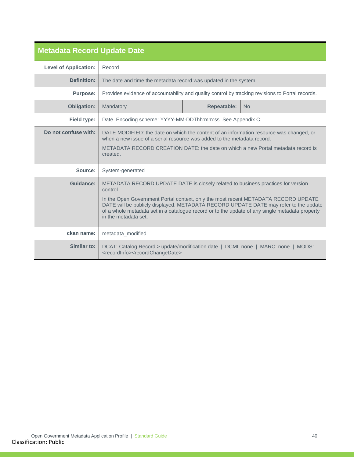<span id="page-39-0"></span>

| <b>Metadata Record Update Date</b> |                                                                                                                                                                                                                                                                                                                                                                                                      |  |  |
|------------------------------------|------------------------------------------------------------------------------------------------------------------------------------------------------------------------------------------------------------------------------------------------------------------------------------------------------------------------------------------------------------------------------------------------------|--|--|
| <b>Level of Application:</b>       | Record                                                                                                                                                                                                                                                                                                                                                                                               |  |  |
| <b>Definition:</b>                 | The date and time the metadata record was updated in the system.                                                                                                                                                                                                                                                                                                                                     |  |  |
| <b>Purpose:</b>                    | Provides evidence of accountability and quality control by tracking revisions to Portal records.                                                                                                                                                                                                                                                                                                     |  |  |
| <b>Obligation:</b>                 | <b>Repeatable:</b><br>Mandatory<br><b>No</b>                                                                                                                                                                                                                                                                                                                                                         |  |  |
| <b>Field type:</b>                 | Date. Encoding scheme: YYYY-MM-DDThh:mm:ss. See Appendix C.                                                                                                                                                                                                                                                                                                                                          |  |  |
| Do not confuse with:               | DATE MODIFIED: the date on which the content of an information resource was changed, or<br>when a new issue of a serial resource was added to the metadata record.<br>METADATA RECORD CREATION DATE: the date on which a new Portal metadata record is<br>created.                                                                                                                                   |  |  |
| Source:                            | System-generated                                                                                                                                                                                                                                                                                                                                                                                     |  |  |
| Guidance:                          | METADATA RECORD UPDATE DATE is closely related to business practices for version<br>control.<br>In the Open Government Portal context, only the most recent METADATA RECORD UPDATE<br>DATE will be publicly displayed. METADATA RECORD UPDATE DATE may refer to the update<br>of a whole metadata set in a catalogue record or to the update of any single metadata property<br>in the metadata set. |  |  |
| ckan name:                         | metadata modified                                                                                                                                                                                                                                                                                                                                                                                    |  |  |
| Similar to:                        | DCAT: Catalog Record > update/modification date   DCMI: none   MARC: none   MODS:<br><recordinfo><recordchangedate></recordchangedate></recordinfo>                                                                                                                                                                                                                                                  |  |  |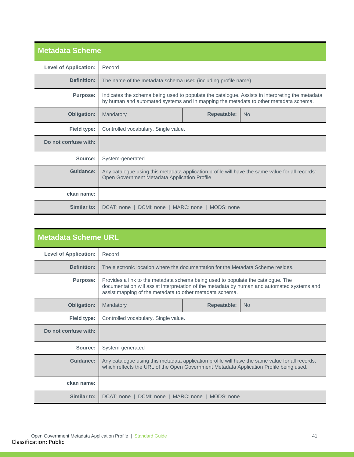<span id="page-40-0"></span>

| <b>Metadata Scheme</b>       |                                                                                                                                                                                         |             |           |  |
|------------------------------|-----------------------------------------------------------------------------------------------------------------------------------------------------------------------------------------|-------------|-----------|--|
| <b>Level of Application:</b> | Record                                                                                                                                                                                  |             |           |  |
| <b>Definition:</b>           | The name of the metadata schema used (including profile name).                                                                                                                          |             |           |  |
| <b>Purpose:</b>              | Indicates the schema being used to populate the catalogue. Assists in interpreting the metadata<br>by human and automated systems and in mapping the metadata to other metadata schema. |             |           |  |
| <b>Obligation:</b>           | Mandatory                                                                                                                                                                               | Repeatable: | <b>No</b> |  |
| <b>Field type:</b>           | Controlled vocabulary. Single value.                                                                                                                                                    |             |           |  |
| Do not confuse with:         |                                                                                                                                                                                         |             |           |  |
| Source:                      | System-generated                                                                                                                                                                        |             |           |  |
| Guidance:                    | Any catalogue using this metadata application profile will have the same value for all records:<br>Open Government Metadata Application Profile                                         |             |           |  |
| ckan name:                   |                                                                                                                                                                                         |             |           |  |
| Similar to:                  | DCAT: none   DCMI: none   MARC: none   MODS: none                                                                                                                                       |             |           |  |

<span id="page-40-1"></span>

| <b>Metadata Scheme URL</b>   |                                                                                                                                                                                                                                             |                    |           |
|------------------------------|---------------------------------------------------------------------------------------------------------------------------------------------------------------------------------------------------------------------------------------------|--------------------|-----------|
| <b>Level of Application:</b> | Record                                                                                                                                                                                                                                      |                    |           |
| <b>Definition:</b>           | The electronic location where the documentation for the Metadata Scheme resides.                                                                                                                                                            |                    |           |
| <b>Purpose:</b>              | Provides a link to the metadata schema being used to populate the catalogue. The<br>documentation will assist interpretation of the metadata by human and automated systems and<br>assist mapping of the metadata to other metadata schema. |                    |           |
| <b>Obligation:</b>           | Mandatory                                                                                                                                                                                                                                   | <b>Repeatable:</b> | <b>No</b> |
| <b>Field type:</b>           | Controlled vocabulary. Single value.                                                                                                                                                                                                        |                    |           |
| Do not confuse with:         |                                                                                                                                                                                                                                             |                    |           |
| Source:                      | System-generated                                                                                                                                                                                                                            |                    |           |
| Guidance:                    | Any catalogue using this metadata application profile will have the same value for all records,<br>which reflects the URL of the Open Government Metadata Application Profile being used.                                                   |                    |           |
| ckan name:                   |                                                                                                                                                                                                                                             |                    |           |
| <b>Similar to:</b>           | DCAT: none   DCMI: none   MARC: none   MODS: none                                                                                                                                                                                           |                    |           |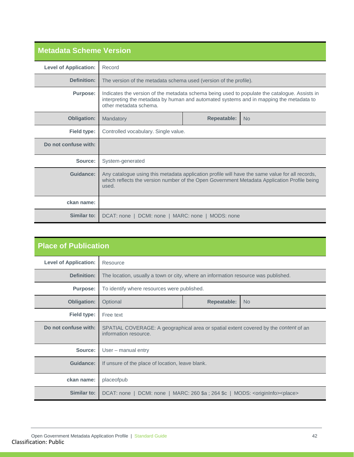<span id="page-41-0"></span>

| <b>Metadata Scheme Version</b> |                                                                                                                                                                                                                    |  |  |  |
|--------------------------------|--------------------------------------------------------------------------------------------------------------------------------------------------------------------------------------------------------------------|--|--|--|
| <b>Level of Application:</b>   | Record                                                                                                                                                                                                             |  |  |  |
| <b>Definition:</b>             | The version of the metadata schema used (version of the profile).                                                                                                                                                  |  |  |  |
| <b>Purpose:</b>                | Indicates the version of the metadata schema being used to populate the catalogue. Assists in<br>interpreting the metadata by human and automated systems and in mapping the metadata to<br>other metadata schema. |  |  |  |
| <b>Obligation:</b>             | <b>Repeatable:</b><br>Mandatory<br><b>No</b>                                                                                                                                                                       |  |  |  |
| Field type:                    | Controlled vocabulary. Single value.                                                                                                                                                                               |  |  |  |
| Do not confuse with:           |                                                                                                                                                                                                                    |  |  |  |
| Source:                        | System-generated                                                                                                                                                                                                   |  |  |  |
| Guidance:                      | Any catalogue using this metadata application profile will have the same value for all records,<br>which reflects the version number of the Open Government Metadata Application Profile being<br>used.            |  |  |  |
| ckan name:                     |                                                                                                                                                                                                                    |  |  |  |
| Similar to:                    | DCAT: none   DCMI: none   MARC: none   MODS: none                                                                                                                                                                  |  |  |  |

<span id="page-41-1"></span>

| <b>Place of Publication</b>  |                                                                                                               |                                                                                    |  |  |
|------------------------------|---------------------------------------------------------------------------------------------------------------|------------------------------------------------------------------------------------|--|--|
| <b>Level of Application:</b> | Resource                                                                                                      |                                                                                    |  |  |
| <b>Definition:</b>           |                                                                                                               | The location, usually a town or city, where an information resource was published. |  |  |
| <b>Purpose:</b>              | To identify where resources were published.                                                                   |                                                                                    |  |  |
| <b>Obligation:</b>           | <b>Repeatable:</b><br>Optional<br><b>No</b>                                                                   |                                                                                    |  |  |
| Field type:                  | Free text                                                                                                     |                                                                                    |  |  |
| Do not confuse with:         | SPATIAL COVERAGE: A geographical area or spatial extent covered by the content of an<br>information resource. |                                                                                    |  |  |
| Source:                      | User – manual entry                                                                                           |                                                                                    |  |  |
| <b>Guidance:</b>             | If unsure of the place of location, leave blank.                                                              |                                                                                    |  |  |
| ckan name:                   | placeofpub                                                                                                    |                                                                                    |  |  |
| Similar to:                  | DCAT: none   DCMI: none   MARC: 260 \$a ; 264 \$c   MODS: <origininfo><place></place></origininfo>            |                                                                                    |  |  |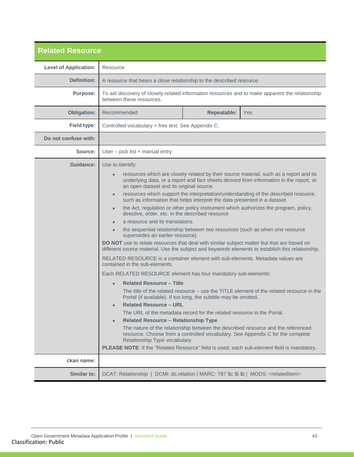<span id="page-42-0"></span>

| <b>Related Resource</b>      |                                                                                                                                                                                                                                                                                                                                                                                                                                                                                                                                                                                                                                                                                                                                                                                                                                                                                                                                                                                                                                                                                                                                                                                                                                                                                                                                                                                                                                                                                                                                                                                                                                                                                         |  |  |
|------------------------------|-----------------------------------------------------------------------------------------------------------------------------------------------------------------------------------------------------------------------------------------------------------------------------------------------------------------------------------------------------------------------------------------------------------------------------------------------------------------------------------------------------------------------------------------------------------------------------------------------------------------------------------------------------------------------------------------------------------------------------------------------------------------------------------------------------------------------------------------------------------------------------------------------------------------------------------------------------------------------------------------------------------------------------------------------------------------------------------------------------------------------------------------------------------------------------------------------------------------------------------------------------------------------------------------------------------------------------------------------------------------------------------------------------------------------------------------------------------------------------------------------------------------------------------------------------------------------------------------------------------------------------------------------------------------------------------------|--|--|
| <b>Level of Application:</b> | Resource                                                                                                                                                                                                                                                                                                                                                                                                                                                                                                                                                                                                                                                                                                                                                                                                                                                                                                                                                                                                                                                                                                                                                                                                                                                                                                                                                                                                                                                                                                                                                                                                                                                                                |  |  |
| Definition:                  | A resource that bears a close relationship to the described resource.                                                                                                                                                                                                                                                                                                                                                                                                                                                                                                                                                                                                                                                                                                                                                                                                                                                                                                                                                                                                                                                                                                                                                                                                                                                                                                                                                                                                                                                                                                                                                                                                                   |  |  |
| <b>Purpose:</b>              | To aid discovery of closely-related information resources and to make apparent the relationship<br>between these resources.                                                                                                                                                                                                                                                                                                                                                                                                                                                                                                                                                                                                                                                                                                                                                                                                                                                                                                                                                                                                                                                                                                                                                                                                                                                                                                                                                                                                                                                                                                                                                             |  |  |
| <b>Obligation:</b>           | <b>Repeatable:</b><br>Recommended<br><b>Yes</b>                                                                                                                                                                                                                                                                                                                                                                                                                                                                                                                                                                                                                                                                                                                                                                                                                                                                                                                                                                                                                                                                                                                                                                                                                                                                                                                                                                                                                                                                                                                                                                                                                                         |  |  |
| Field type:                  | Controlled vocabulary + free text. See Appendix C.                                                                                                                                                                                                                                                                                                                                                                                                                                                                                                                                                                                                                                                                                                                                                                                                                                                                                                                                                                                                                                                                                                                                                                                                                                                                                                                                                                                                                                                                                                                                                                                                                                      |  |  |
| Do not confuse with:         |                                                                                                                                                                                                                                                                                                                                                                                                                                                                                                                                                                                                                                                                                                                                                                                                                                                                                                                                                                                                                                                                                                                                                                                                                                                                                                                                                                                                                                                                                                                                                                                                                                                                                         |  |  |
| Source:                      | User - pick list + manual entry                                                                                                                                                                                                                                                                                                                                                                                                                                                                                                                                                                                                                                                                                                                                                                                                                                                                                                                                                                                                                                                                                                                                                                                                                                                                                                                                                                                                                                                                                                                                                                                                                                                         |  |  |
| <b>Guidance:</b>             | Use to identify:<br>resources which are closely related by their source material, such as a report and its<br>underlying data, or a report and fact sheets derived from information in the report, or<br>an open dataset and its original source.<br>resources which support the interpretation/understanding of the described resource,<br>such as information that helps interpret the data presented in a dataset.<br>the Act, regulation or other policy instrument which authorizes the program, policy,<br>directive, order, etc. in the described resource<br>a resource and its translations.<br>the sequential relationship between two resources (such as when one resource<br>supersedes an earlier resource).<br>DO NOT use to relate resources that deal with similar subject matter but that are based on<br>different source material. Use the subject and keywords elements to establish this relationship.<br>RELATED RESOURCE is a container element with sub-elements. Metadata values are<br>contained in the sub-elements.<br>Each RELATED RESOURCE element has four mandatory sub-elements:<br><b>Related Resource - Title</b><br>The title of the related resource $-$ use the TITLE element of the related resource in the<br>Portal (if available). If too long, the subtitle may be omitted.<br><b>Related Resource - URL</b><br>The URL of the metadata record for the related resource in the Portal.<br><b>Related Resource – Relationship Type</b><br>The nature of the relationship between the described resource and the referenced<br>resource. Choose from a controlled vocabulary. See Appendix C for the complete<br>Relationship Type vocabulary. |  |  |
|                              | PLEASE NOTE: If the "Related Resource" field is used, each sub-element field is mandatory.                                                                                                                                                                                                                                                                                                                                                                                                                                                                                                                                                                                                                                                                                                                                                                                                                                                                                                                                                                                                                                                                                                                                                                                                                                                                                                                                                                                                                                                                                                                                                                                              |  |  |
| ckan name:                   |                                                                                                                                                                                                                                                                                                                                                                                                                                                                                                                                                                                                                                                                                                                                                                                                                                                                                                                                                                                                                                                                                                                                                                                                                                                                                                                                                                                                                                                                                                                                                                                                                                                                                         |  |  |
| Similar to:                  | DCAT: Relationship   DCMI: dc.relation   MARC: 787 \$c \$i \$t   MODS: <relateditem></relateditem>                                                                                                                                                                                                                                                                                                                                                                                                                                                                                                                                                                                                                                                                                                                                                                                                                                                                                                                                                                                                                                                                                                                                                                                                                                                                                                                                                                                                                                                                                                                                                                                      |  |  |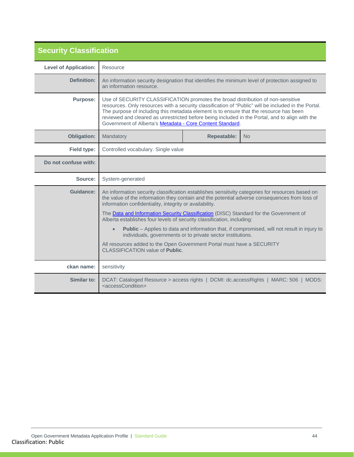<span id="page-43-0"></span>

| <b>Security Classification</b> |                                                                                                                                                                                                                                                                                                                                                                                                                                                                                                                                                                                                                                                                                                                          |                                 |                                                                                      |  |  |
|--------------------------------|--------------------------------------------------------------------------------------------------------------------------------------------------------------------------------------------------------------------------------------------------------------------------------------------------------------------------------------------------------------------------------------------------------------------------------------------------------------------------------------------------------------------------------------------------------------------------------------------------------------------------------------------------------------------------------------------------------------------------|---------------------------------|--------------------------------------------------------------------------------------|--|--|
| <b>Level of Application:</b>   | Resource                                                                                                                                                                                                                                                                                                                                                                                                                                                                                                                                                                                                                                                                                                                 |                                 |                                                                                      |  |  |
| <b>Definition:</b>             | An information security designation that identifies the minimum level of protection assigned to<br>an information resource.                                                                                                                                                                                                                                                                                                                                                                                                                                                                                                                                                                                              |                                 |                                                                                      |  |  |
| <b>Purpose:</b>                | Use of SECURITY CLASSIFICATION promotes the broad distribution of non-sensitive<br>resources. Only resources with a security classification of "Public" will be included in the Portal.<br>The purpose of including this metadata element is to ensure that the resource has been<br>reviewed and cleared as unrestricted before being included in the Portal, and to align with the<br>Government of Alberta's Metadata - Core Content Standard.                                                                                                                                                                                                                                                                        |                                 |                                                                                      |  |  |
| <b>Obligation:</b>             | Mandatory                                                                                                                                                                                                                                                                                                                                                                                                                                                                                                                                                                                                                                                                                                                | <b>Repeatable:</b><br><b>No</b> |                                                                                      |  |  |
| Field type:                    | Controlled vocabulary. Single value                                                                                                                                                                                                                                                                                                                                                                                                                                                                                                                                                                                                                                                                                      |                                 |                                                                                      |  |  |
| Do not confuse with:           |                                                                                                                                                                                                                                                                                                                                                                                                                                                                                                                                                                                                                                                                                                                          |                                 |                                                                                      |  |  |
| Source:                        | System-generated                                                                                                                                                                                                                                                                                                                                                                                                                                                                                                                                                                                                                                                                                                         |                                 |                                                                                      |  |  |
| <b>Guidance:</b>               | An information security classification establishes sensitivity categories for resources based on<br>the value of the information they contain and the potential adverse consequences from loss of<br>information confidentiality, integrity or availability.<br>The Data and Information Security Classification (DISC) Standard for the Government of<br>Alberta establishes four levels of security classification, including:<br>Public - Applies to data and information that, if compromised, will not result in injury to<br>$\bullet$<br>individuals, governments or to private sector institutions.<br>All resources added to the Open Government Portal must have a SECURITY<br>CLASSIFICATION value of Public. |                                 |                                                                                      |  |  |
| ckan name:                     | sensitivity                                                                                                                                                                                                                                                                                                                                                                                                                                                                                                                                                                                                                                                                                                              |                                 |                                                                                      |  |  |
| Similar to:                    | <accesscondition></accesscondition>                                                                                                                                                                                                                                                                                                                                                                                                                                                                                                                                                                                                                                                                                      |                                 | DCAT: Cataloged Resource > access rights   DCMI: dc.accessRights   MARC: 506   MODS: |  |  |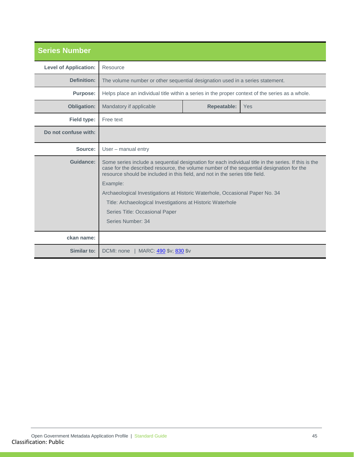<span id="page-44-0"></span>

| <b>Series Number</b>         |                                                                                                                                                                                                                                                                                   |                    |     |
|------------------------------|-----------------------------------------------------------------------------------------------------------------------------------------------------------------------------------------------------------------------------------------------------------------------------------|--------------------|-----|
| <b>Level of Application:</b> | Resource                                                                                                                                                                                                                                                                          |                    |     |
| Definition:                  | The volume number or other sequential designation used in a series statement.                                                                                                                                                                                                     |                    |     |
| <b>Purpose:</b>              | Helps place an individual title within a series in the proper context of the series as a whole.                                                                                                                                                                                   |                    |     |
| <b>Obligation:</b>           | Mandatory if applicable                                                                                                                                                                                                                                                           | <b>Repeatable:</b> | Yes |
| Field type:                  | Free text                                                                                                                                                                                                                                                                         |                    |     |
| Do not confuse with:         |                                                                                                                                                                                                                                                                                   |                    |     |
| Source:                      | User - manual entry                                                                                                                                                                                                                                                               |                    |     |
| Guidance:                    | Some series include a sequential designation for each individual title in the series. If this is the<br>case for the described resource, the volume number of the sequential designation for the<br>resource should be included in this field, and not in the series title field. |                    |     |
|                              | Example:                                                                                                                                                                                                                                                                          |                    |     |
|                              | Archaeological Investigations at Historic Waterhole, Occasional Paper No. 34                                                                                                                                                                                                      |                    |     |
|                              | Title: Archaeological Investigations at Historic Waterhole                                                                                                                                                                                                                        |                    |     |
|                              | Series Title: Occasional Paper                                                                                                                                                                                                                                                    |                    |     |
|                              | Series Number: 34                                                                                                                                                                                                                                                                 |                    |     |
| ckan name:                   |                                                                                                                                                                                                                                                                                   |                    |     |
| Similar to:                  | DCMI: none   MARC: 490 \$v; 830 \$v                                                                                                                                                                                                                                               |                    |     |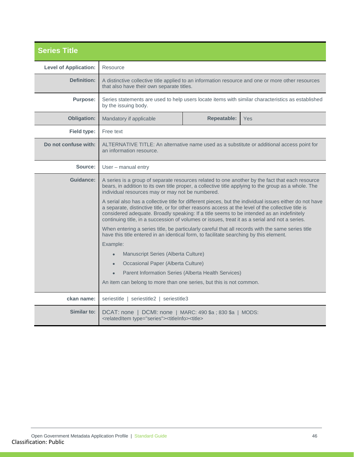<span id="page-45-0"></span>

| <b>Series Title</b>          |                                                                                                                                                                                                                                                                                                                                                                                                              |                                           |                                                                                                   |  |
|------------------------------|--------------------------------------------------------------------------------------------------------------------------------------------------------------------------------------------------------------------------------------------------------------------------------------------------------------------------------------------------------------------------------------------------------------|-------------------------------------------|---------------------------------------------------------------------------------------------------|--|
| <b>Level of Application:</b> | Resource                                                                                                                                                                                                                                                                                                                                                                                                     |                                           |                                                                                                   |  |
| Definition:                  | A distinctive collective title applied to an information resource and one or more other resources<br>that also have their own separate titles.                                                                                                                                                                                                                                                               |                                           |                                                                                                   |  |
| <b>Purpose:</b>              | by the issuing body.                                                                                                                                                                                                                                                                                                                                                                                         |                                           | Series statements are used to help users locate items with similar characteristics as established |  |
| <b>Obligation:</b>           | Mandatory if applicable                                                                                                                                                                                                                                                                                                                                                                                      | Repeatable:                               | Yes                                                                                               |  |
| Field type:                  | Free text                                                                                                                                                                                                                                                                                                                                                                                                    |                                           |                                                                                                   |  |
| Do not confuse with:         | ALTERNATIVE TITLE: An alternative name used as a substitute or additional access point for<br>an information resource.                                                                                                                                                                                                                                                                                       |                                           |                                                                                                   |  |
| Source:                      | User – manual entry                                                                                                                                                                                                                                                                                                                                                                                          |                                           |                                                                                                   |  |
| Guidance:                    | A series is a group of separate resources related to one another by the fact that each resource<br>bears, in addition to its own title proper, a collective title applying to the group as a whole. The<br>individual resources may or may not be numbered.                                                                                                                                                  |                                           |                                                                                                   |  |
|                              | A serial also has a collective title for different pieces, but the individual issues either do not have<br>a separate, distinctive title, or for other reasons access at the level of the collective title is<br>considered adequate. Broadly speaking: If a title seems to be intended as an indefinitely<br>continuing title, in a succession of volumes or issues, treat it as a serial and not a series. |                                           |                                                                                                   |  |
|                              | When entering a series title, be particularly careful that all records with the same series title<br>have this title entered in an identical form, to facilitate searching by this element.                                                                                                                                                                                                                  |                                           |                                                                                                   |  |
|                              | Example:                                                                                                                                                                                                                                                                                                                                                                                                     |                                           |                                                                                                   |  |
|                              | Manuscript Series (Alberta Culture)                                                                                                                                                                                                                                                                                                                                                                          |                                           |                                                                                                   |  |
|                              | Occasional Paper (Alberta Culture)<br>$\bullet$                                                                                                                                                                                                                                                                                                                                                              |                                           |                                                                                                   |  |
|                              | Parent Information Series (Alberta Health Services)                                                                                                                                                                                                                                                                                                                                                          |                                           |                                                                                                   |  |
|                              | An item can belong to more than one series, but this is not common.                                                                                                                                                                                                                                                                                                                                          |                                           |                                                                                                   |  |
| ckan name:                   |                                                                                                                                                                                                                                                                                                                                                                                                              | seriestitle   seriestitle2   seriestitle3 |                                                                                                   |  |
| <b>Similar to:</b>           | DCAT: none   DCMI: none   MARC: 490 \$a ; 830 \$a   MODS:<br><relateditem type="series"><titleinfo><title></title></titleinfo></relateditem>                                                                                                                                                                                                                                                                 |                                           |                                                                                                   |  |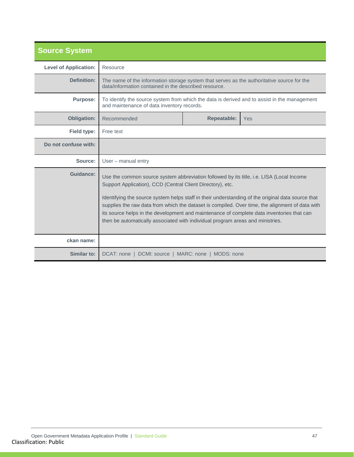<span id="page-46-0"></span>

| <b>Source System</b>         |                                                                                                                                                                                                                                                                                                                                                                                                                                                                                                                                               |                    |     |  |
|------------------------------|-----------------------------------------------------------------------------------------------------------------------------------------------------------------------------------------------------------------------------------------------------------------------------------------------------------------------------------------------------------------------------------------------------------------------------------------------------------------------------------------------------------------------------------------------|--------------------|-----|--|
| <b>Level of Application:</b> | Resource                                                                                                                                                                                                                                                                                                                                                                                                                                                                                                                                      |                    |     |  |
| Definition:                  | The name of the information storage system that serves as the authoritative source for the<br>data/information contained in the described resource.                                                                                                                                                                                                                                                                                                                                                                                           |                    |     |  |
| <b>Purpose:</b>              | To identify the source system from which the data is derived and to assist in the management<br>and maintenance of data inventory records.                                                                                                                                                                                                                                                                                                                                                                                                    |                    |     |  |
| <b>Obligation:</b>           | Recommended                                                                                                                                                                                                                                                                                                                                                                                                                                                                                                                                   | <b>Repeatable:</b> | Yes |  |
| Field type:                  | Free text                                                                                                                                                                                                                                                                                                                                                                                                                                                                                                                                     |                    |     |  |
| Do not confuse with:         |                                                                                                                                                                                                                                                                                                                                                                                                                                                                                                                                               |                    |     |  |
| Source:                      | User - manual entry                                                                                                                                                                                                                                                                                                                                                                                                                                                                                                                           |                    |     |  |
| <b>Guidance:</b>             | Use the common source system abbreviation followed by its title, i.e. LISA (Local Income<br>Support Application), CCD (Central Client Directory), etc.<br>Identifying the source system helps staff in their understanding of the original data source that<br>supplies the raw data from which the dataset is compiled. Over time, the alignment of data with<br>its source helps in the development and maintenance of complete data inventories that can<br>then be automatically associated with individual program areas and ministries. |                    |     |  |
| ckan name:                   |                                                                                                                                                                                                                                                                                                                                                                                                                                                                                                                                               |                    |     |  |
| Similar to:                  | DCAT: none   DCMI: source   MARC: none   MODS: none                                                                                                                                                                                                                                                                                                                                                                                                                                                                                           |                    |     |  |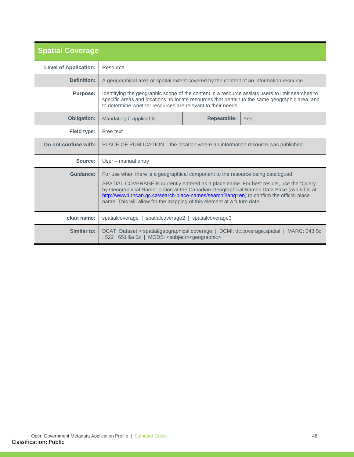<span id="page-47-0"></span>

| <b>Spatial Coverage</b>      |                                                                                                                                                                                                                                                                                                                                                                                                                                               |                           |                                                                                           |  |  |
|------------------------------|-----------------------------------------------------------------------------------------------------------------------------------------------------------------------------------------------------------------------------------------------------------------------------------------------------------------------------------------------------------------------------------------------------------------------------------------------|---------------------------|-------------------------------------------------------------------------------------------|--|--|
| <b>Level of Application:</b> | Resource                                                                                                                                                                                                                                                                                                                                                                                                                                      |                           |                                                                                           |  |  |
| Definition:                  | A geographical area or spatial extent covered by the content of an information resource.                                                                                                                                                                                                                                                                                                                                                      |                           |                                                                                           |  |  |
| <b>Purpose:</b>              | Identifying the geographic scope of the content in a resource assists users to limit searches to<br>specific areas and locations, to locate resources that pertain to the same geographic area, and<br>to determine whether resources are relevant to their needs.                                                                                                                                                                            |                           |                                                                                           |  |  |
| <b>Obligation:</b>           | Mandatory if applicable                                                                                                                                                                                                                                                                                                                                                                                                                       | <b>Repeatable:</b><br>Yes |                                                                                           |  |  |
| Field type:                  | Free text                                                                                                                                                                                                                                                                                                                                                                                                                                     |                           |                                                                                           |  |  |
| Do not confuse with:         | PLACE OF PUBLICATION – the location where an information resource was published.                                                                                                                                                                                                                                                                                                                                                              |                           |                                                                                           |  |  |
| Source:                      | User - manual entry                                                                                                                                                                                                                                                                                                                                                                                                                           |                           |                                                                                           |  |  |
| Guidance:                    | For use when there is a geographical component to the resource being catalogued.<br>SPATIAL COVERAGE is currently entered as a place name. For best results, use the "Query<br>by Geographical Name" option at the Canadian Geographical Names Data Base (available at<br>http://www4.rncan.qc.ca/search-place-names/search?lang=en) to confirm the official place<br>name. This will allow for the mapping of this element at a future date. |                           |                                                                                           |  |  |
| ckan name:                   | spatialcoverage   spatialcoverage2   spatialcoverage3                                                                                                                                                                                                                                                                                                                                                                                         |                           |                                                                                           |  |  |
| Similar to:                  | ; 522 ; 651 \$a \$z   MODS: <subject><geographic></geographic></subject>                                                                                                                                                                                                                                                                                                                                                                      |                           | DCAT: Dataset > spatial/geographical coverage   DCMI: dc.coverage.spatial   MARC: 043 \$c |  |  |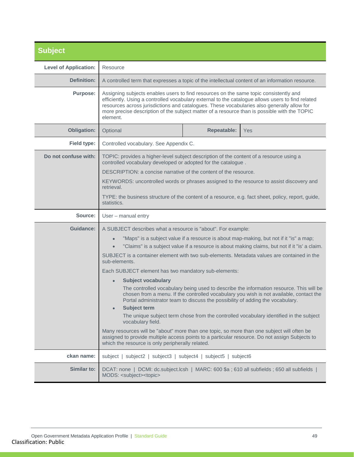<span id="page-48-0"></span>

| <b>Subject</b>               |                                                                                                                                                                                                                                                                                                                                                                                                      |                    |                                                                                                                                                                                                                                                                              |
|------------------------------|------------------------------------------------------------------------------------------------------------------------------------------------------------------------------------------------------------------------------------------------------------------------------------------------------------------------------------------------------------------------------------------------------|--------------------|------------------------------------------------------------------------------------------------------------------------------------------------------------------------------------------------------------------------------------------------------------------------------|
| <b>Level of Application:</b> | Resource                                                                                                                                                                                                                                                                                                                                                                                             |                    |                                                                                                                                                                                                                                                                              |
| <b>Definition:</b>           | A controlled term that expresses a topic of the intellectual content of an information resource.                                                                                                                                                                                                                                                                                                     |                    |                                                                                                                                                                                                                                                                              |
| <b>Purpose:</b>              | Assigning subjects enables users to find resources on the same topic consistently and<br>efficiently. Using a controlled vocabulary external to the catalogue allows users to find related<br>resources across jurisdictions and catalogues. These vocabularies also generally allow for<br>more precise description of the subject matter of a resource than is possible with the TOPIC<br>element. |                    |                                                                                                                                                                                                                                                                              |
| <b>Obligation:</b>           | Optional                                                                                                                                                                                                                                                                                                                                                                                             | <b>Repeatable:</b> | Yes                                                                                                                                                                                                                                                                          |
| Field type:                  | Controlled vocabulary. See Appendix C.                                                                                                                                                                                                                                                                                                                                                               |                    |                                                                                                                                                                                                                                                                              |
| Do not confuse with:         | TOPIC: provides a higher-level subject description of the content of a resource using a<br>controlled vocabulary developed or adopted for the catalogue.<br>DESCRIPTION: a concise narrative of the content of the resource.                                                                                                                                                                         |                    |                                                                                                                                                                                                                                                                              |
|                              | KEYWORDS: uncontrolled words or phrases assigned to the resource to assist discovery and<br>retrieval.<br>TYPE: the business structure of the content of a resource, e.g. fact sheet, policy, report, guide,<br>statistics.                                                                                                                                                                          |                    |                                                                                                                                                                                                                                                                              |
| Source:                      | User - manual entry                                                                                                                                                                                                                                                                                                                                                                                  |                    |                                                                                                                                                                                                                                                                              |
| Guidance:                    | A SUBJECT describes what a resource is "about". For example:                                                                                                                                                                                                                                                                                                                                         |                    |                                                                                                                                                                                                                                                                              |
|                              | "Maps" is a subject value if a resource is about map-making, but not if it "is" a map;<br>$\bullet$<br>"Claims" is a subject value if a resource is about making claims, but not if it "is' a claim.                                                                                                                                                                                                 |                    |                                                                                                                                                                                                                                                                              |
|                              | SUBJECT is a container element with two sub-elements. Metadata values are contained in the<br>sub-elements.                                                                                                                                                                                                                                                                                          |                    |                                                                                                                                                                                                                                                                              |
|                              | Each SUBJECT element has two mandatory sub-elements:                                                                                                                                                                                                                                                                                                                                                 |                    |                                                                                                                                                                                                                                                                              |
|                              | <b>Subject vocabulary</b><br>$\bullet$<br>Portal administrator team to discuss the possibility of adding the vocabulary.<br><b>Subject term</b><br>vocabulary field.                                                                                                                                                                                                                                 |                    | The controlled vocabulary being used to describe the information resource. This will be<br>chosen from a menu. If the controlled vocabulary you wish is not available, contact the<br>The unique subject term chose from the controlled vocabulary identified in the subject |
|                              | Many resources will be "about" more than one topic, so more than one subject will often be<br>assigned to provide multiple access points to a particular resource. Do not assign Subjects to<br>which the resource is only peripherally related.                                                                                                                                                     |                    |                                                                                                                                                                                                                                                                              |
| ckan name:                   | subject   subject2   subject3   subject4   subject5   subject6                                                                                                                                                                                                                                                                                                                                       |                    |                                                                                                                                                                                                                                                                              |
| Similar to:                  | DCAT: none   DCMI: dc.subject.lcsh   MARC: 600 \$a ; 610 all subfields ; 650 all subfields  <br>MODS: <subject><topic></topic></subject>                                                                                                                                                                                                                                                             |                    |                                                                                                                                                                                                                                                                              |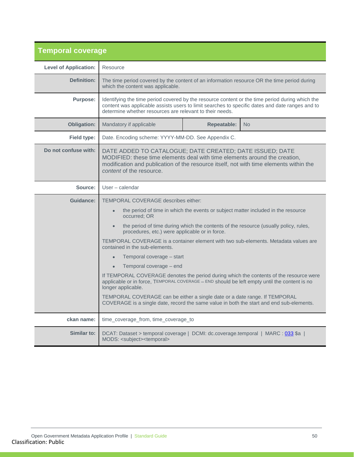<span id="page-49-0"></span>

| <b>Temporal coverage</b>     |                                                                                                                                                                                                                                                                                                                                                                                                                                                                                                                                                                                                                                                                                                                                                                                                                                                                                                |                    |           |
|------------------------------|------------------------------------------------------------------------------------------------------------------------------------------------------------------------------------------------------------------------------------------------------------------------------------------------------------------------------------------------------------------------------------------------------------------------------------------------------------------------------------------------------------------------------------------------------------------------------------------------------------------------------------------------------------------------------------------------------------------------------------------------------------------------------------------------------------------------------------------------------------------------------------------------|--------------------|-----------|
| <b>Level of Application:</b> | Resource                                                                                                                                                                                                                                                                                                                                                                                                                                                                                                                                                                                                                                                                                                                                                                                                                                                                                       |                    |           |
| Definition:                  | The time period covered by the content of an information resource OR the time period during<br>which the content was applicable.                                                                                                                                                                                                                                                                                                                                                                                                                                                                                                                                                                                                                                                                                                                                                               |                    |           |
| <b>Purpose:</b>              | Identifying the time period covered by the resource content or the time period during which the<br>content was applicable assists users to limit searches to specific dates and date ranges and to<br>determine whether resources are relevant to their needs.                                                                                                                                                                                                                                                                                                                                                                                                                                                                                                                                                                                                                                 |                    |           |
| Obligation:                  | Mandatory if applicable                                                                                                                                                                                                                                                                                                                                                                                                                                                                                                                                                                                                                                                                                                                                                                                                                                                                        | <b>Repeatable:</b> | <b>No</b> |
| <b>Field type:</b>           | Date. Encoding scheme: YYYY-MM-DD. See Appendix C.                                                                                                                                                                                                                                                                                                                                                                                                                                                                                                                                                                                                                                                                                                                                                                                                                                             |                    |           |
| Do not confuse with:         | DATE ADDED TO CATALOGUE; DATE CREATED; DATE ISSUED; DATE<br>MODIFIED: these time elements deal with time elements around the creation,<br>modification and publication of the resource itself, not with time elements within the<br>content of the resource.                                                                                                                                                                                                                                                                                                                                                                                                                                                                                                                                                                                                                                   |                    |           |
| Source:                      | $User - calendar$                                                                                                                                                                                                                                                                                                                                                                                                                                                                                                                                                                                                                                                                                                                                                                                                                                                                              |                    |           |
| <b>Guidance:</b>             | <b>TEMPORAL COVERAGE describes either:</b><br>the period of time in which the events or subject matter included in the resource<br>$\bullet$<br>occurred; OR<br>the period of time during which the contents of the resource (usually policy, rules,<br>procedures, etc.) were applicable or in force.<br>TEMPORAL COVERAGE is a container element with two sub-elements. Metadata values are<br>contained in the sub-elements.<br>Temporal coverage - start<br>Temporal coverage - end<br>$\bullet$<br>If TEMPORAL COVERAGE denotes the period during which the contents of the resource were<br>applicable or in force, TEMPORAL COVERAGE - END should be left empty until the content is no<br>longer applicable.<br>TEMPORAL COVERAGE can be either a single date or a date range. If TEMPORAL<br>COVERAGE is a single date, record the same value in both the start and end sub-elements. |                    |           |
| ckan name:                   | time_coverage_from, time_coverage_to                                                                                                                                                                                                                                                                                                                                                                                                                                                                                                                                                                                                                                                                                                                                                                                                                                                           |                    |           |
| Similar to:                  | DCAT: Dataset > temporal coverage   DCMI: dc.coverage.temporal   MARC : 033 \$a  <br>MODS: <subject><temporal></temporal></subject>                                                                                                                                                                                                                                                                                                                                                                                                                                                                                                                                                                                                                                                                                                                                                            |                    |           |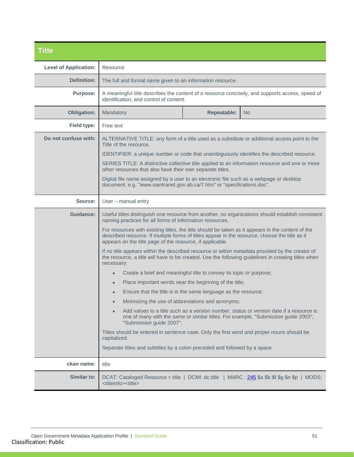<span id="page-50-0"></span>

| <b>Title</b>                 |                                                                                                                                                                                                                                                                  |  |  |
|------------------------------|------------------------------------------------------------------------------------------------------------------------------------------------------------------------------------------------------------------------------------------------------------------|--|--|
| <b>Level of Application:</b> | Resource                                                                                                                                                                                                                                                         |  |  |
| <b>Definition:</b>           | The full and formal name given to an information resource.                                                                                                                                                                                                       |  |  |
| <b>Purpose:</b>              | A meaningful title describes the content of a resource concisely, and supports access, speed of<br>identification, and control of content.                                                                                                                       |  |  |
| <b>Obligation:</b>           | <b>Repeatable:</b><br>Mandatory<br>N <sub>o</sub>                                                                                                                                                                                                                |  |  |
| Field type:                  | Free text                                                                                                                                                                                                                                                        |  |  |
| Do not confuse with:         | ALTERNATIVE TITLE: any form of a title used as a substitute or additional access point to the<br>Title of the resource.<br>IDENTIFIER: a unique number or code that unambiguously identifies the described resource.                                             |  |  |
|                              | SERIES TITLE: A distinctive collective title applied to an information resource and one or more<br>other resources that also have their own separate titles.                                                                                                     |  |  |
|                              | Digital file name assigned by a user to an electronic file such as a webpage or desktop<br>document, e.g. "www.saintranet.gov.ab.ca/7.htm" or "specifications.doc".                                                                                              |  |  |
| Source:                      | User - manual entry                                                                                                                                                                                                                                              |  |  |
| <b>Guidance:</b>             | Useful titles distinguish one resource from another, so organizations should establish consistent<br>naming practices for all forms of information resources.                                                                                                    |  |  |
|                              | For resources with existing titles, the title should be taken as it appears in the content of the<br>described resource. If multiple forms of titles appear in the resource, choose the title as it<br>appears on the title page of the resource, if applicable. |  |  |
|                              | If no title appears within the described resource or within metadata provided by the creator of<br>the resource, a title will have to be created. Use the following guidelines in creating titles when<br>necessary:                                             |  |  |
|                              | Create a brief and meaningful title to convey its topic or purpose;<br>$\bullet$                                                                                                                                                                                 |  |  |
|                              | Place important words near the beginning of the title;                                                                                                                                                                                                           |  |  |
|                              | Ensure that the title is in the same language as the resource;                                                                                                                                                                                                   |  |  |
|                              | Minimizing the use of abbreviations and acronyms;                                                                                                                                                                                                                |  |  |
|                              | Add values to a title such as a version number, status or version date if a resource is<br>one of many with the same or similar titles. For example, "Submission guide 2003",<br>"Submission guide 2007".                                                        |  |  |
|                              | Titles should be entered in sentence case. Only the first word and proper nouns should be<br>capitalized.                                                                                                                                                        |  |  |
|                              | Separate titles and subtitles by a colon preceded and followed by a space.                                                                                                                                                                                       |  |  |
| ckan name:                   | title                                                                                                                                                                                                                                                            |  |  |
| Similar to:                  | DCAT: Cataloged Resource > title   DCMI: dc.title   MARC : 245 \$a \$b \$f \$g \$n \$p   MODS:<br><titleinfo><title></title></titleinfo>                                                                                                                         |  |  |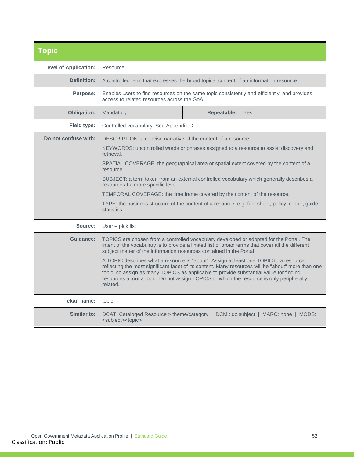<span id="page-51-0"></span>

| <b>Topic</b>                 |                                                                                                                                                                                                                                                                                          |                    |                                                                                                    |
|------------------------------|------------------------------------------------------------------------------------------------------------------------------------------------------------------------------------------------------------------------------------------------------------------------------------------|--------------------|----------------------------------------------------------------------------------------------------|
| <b>Level of Application:</b> | Resource                                                                                                                                                                                                                                                                                 |                    |                                                                                                    |
| Definition:                  | A controlled term that expresses the broad topical content of an information resource.                                                                                                                                                                                                   |                    |                                                                                                    |
| <b>Purpose:</b>              | Enables users to find resources on the same topic consistently and efficiently, and provides<br>access to related resources across the GoA.                                                                                                                                              |                    |                                                                                                    |
| <b>Obligation:</b>           | <b>Mandatory</b>                                                                                                                                                                                                                                                                         | <b>Repeatable:</b> | Yes                                                                                                |
| Field type:                  | Controlled vocabulary. See Appendix C.                                                                                                                                                                                                                                                   |                    |                                                                                                    |
| Do not confuse with:         | DESCRIPTION: a concise narrative of the content of a resource.                                                                                                                                                                                                                           |                    |                                                                                                    |
|                              | KEYWORDS: uncontrolled words or phrases assigned to a resource to assist discovery and<br>retrieval.                                                                                                                                                                                     |                    |                                                                                                    |
|                              | SPATIAL COVERAGE: the geographical area or spatial extent covered by the content of a<br>resource.                                                                                                                                                                                       |                    |                                                                                                    |
|                              | SUBJECT: a term taken from an external controlled vocabulary which generally describes a<br>resource at a more specific level.                                                                                                                                                           |                    |                                                                                                    |
|                              | TEMPORAL COVERAGE: the time frame covered by the content of the resource.                                                                                                                                                                                                                |                    |                                                                                                    |
|                              | TYPE: the business structure of the content of a resource, e.g. fact sheet, policy, report, guide,<br>statistics.                                                                                                                                                                        |                    |                                                                                                    |
| Source:                      | User - pick list                                                                                                                                                                                                                                                                         |                    |                                                                                                    |
| <b>Guidance:</b>             | TOPICS are chosen from a controlled vocabulary developed or adopted for the Portal. The<br>intent of the vocabulary is to provide a limited list of broad terms that cover all the different<br>subject matter of the information resources contained in the Portal.                     |                    |                                                                                                    |
|                              | A TOPIC describes what a resource is "about". Assign at least one TOPIC to a resource,<br>topic, so assign as many TOPICS as applicable to provide substantial value for finding<br>resources about a topic. Do not assign TOPICS to which the resource is only peripherally<br>related. |                    | reflecting the most significant facet of its content. Many resources will be "about" more than one |
| ckan name:                   | topic                                                                                                                                                                                                                                                                                    |                    |                                                                                                    |
| Similar to:                  | DCAT: Cataloged Resource > theme/category   DCMI: dc.subject   MARC: none   MODS:<br><subject><topic></topic></subject>                                                                                                                                                                  |                    |                                                                                                    |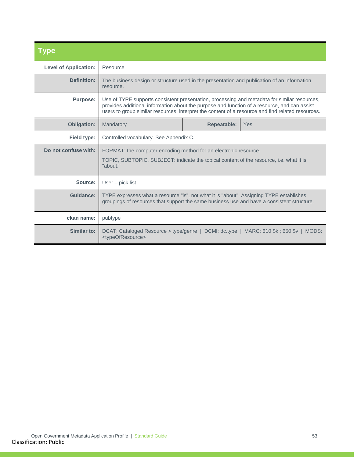<span id="page-52-0"></span>

| Type                         |                                                                                                                                                                                                                                                                                                   |                    |                                                                                        |
|------------------------------|---------------------------------------------------------------------------------------------------------------------------------------------------------------------------------------------------------------------------------------------------------------------------------------------------|--------------------|----------------------------------------------------------------------------------------|
| <b>Level of Application:</b> | Resource                                                                                                                                                                                                                                                                                          |                    |                                                                                        |
| <b>Definition:</b>           | The business design or structure used in the presentation and publication of an information<br>resource.                                                                                                                                                                                          |                    |                                                                                        |
| <b>Purpose:</b>              | Use of TYPE supports consistent presentation, processing and metadata for similar resources,<br>provides additional information about the purpose and function of a resource, and can assist<br>users to group similar resources, interpret the content of a resource and find related resources. |                    |                                                                                        |
| <b>Obligation:</b>           | Mandatory                                                                                                                                                                                                                                                                                         | <b>Repeatable:</b> | Yes                                                                                    |
| Field type:                  | Controlled vocabulary. See Appendix C.                                                                                                                                                                                                                                                            |                    |                                                                                        |
| Do not confuse with:         | FORMAT: the computer encoding method for an electronic resource.                                                                                                                                                                                                                                  |                    |                                                                                        |
|                              | TOPIC, SUBTOPIC, SUBJECT: indicate the topical content of the resource, i.e. what it is<br>"about."                                                                                                                                                                                               |                    |                                                                                        |
| Source:                      | $User - pick list$                                                                                                                                                                                                                                                                                |                    |                                                                                        |
| Guidance:                    | TYPE expresses what a resource "is", not what it is "about". Assigning TYPE establishes<br>groupings of resources that support the same business use and have a consistent structure.                                                                                                             |                    |                                                                                        |
| ckan name:                   | pubtype                                                                                                                                                                                                                                                                                           |                    |                                                                                        |
| Similar to:                  | <typeofresource></typeofresource>                                                                                                                                                                                                                                                                 |                    | DCAT: Cataloged Resource > type/genre   DCMI: dc.type   MARC: 610 \$k; 650 \$v   MODS: |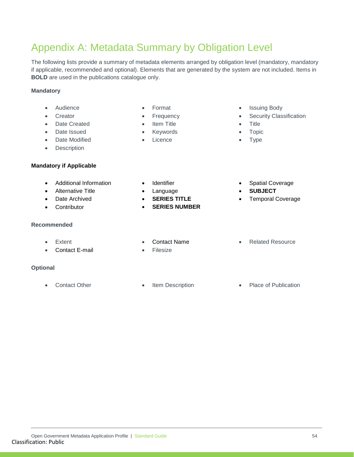## Open Government Metadata Application Profile | Standard Guide 54 Classification: Public

### <span id="page-53-0"></span>Appendix A: Metadata Summary by Obligation Level

The following lists provide a summary of metadata elements arranged by obligation level (mandatory, mandatory if applicable, recommended and optional). Elements that are generated by the system are not included. Items in **BOLD** are used in the publications catalogue only.

### **Mandatory**

- Audience
- **Creator**
- Date Created
- Date Issued
- Date Modified
- Description

#### **Mandatory if Applicable**

- Additional Information
- Alternative Title
- Date Archived
- **Contributor**

#### **Recommended**

- Extent
- Contact E-mail

#### **Optional**

- **Format**
- **Frequency**
- **Item Title**
- **Keywords**
- **Licence**
- Issuing Body
- **Security Classification**
- Title
- Topic
- Type
- Spatial Coverage
	- **SUBJECT**
	- Temporal Coverage

• Related Resource

- Contact Name
- **Filesize**
- Contact Other Item Description Place of Publication

- **Identifier** 
	- Language
	- **SERIES TITLE**
	- **SERIES NUMBER**
- 
- 
- -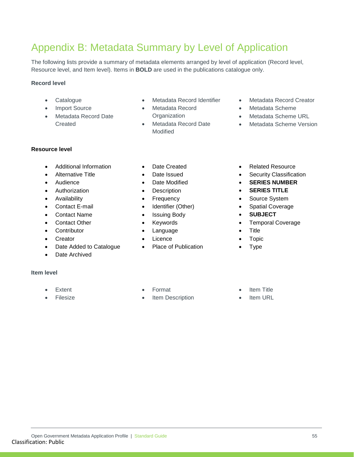### <span id="page-54-0"></span>Appendix B: Metadata Summary by Level of Application

The following lists provide a summary of metadata elements arranged by level of application (Record level, Resource level, and Item level). Items in **BOLD** are used in the publications catalogue only.

#### **Record level**

- Catalogue
- Import Source
- Metadata Record Date **Created**
- Metadata Record Identifier
- Metadata Record **Organization**
- Metadata Record Date Modified
- Metadata Record Creator
- Metadata Scheme
- Metadata Scheme URL
- Metadata Scheme Version

#### **Resource level**

- Additional Information
- Alternative Title
- Audience
- Authorization
- Availability
- Contact E-mail
- Contact Name
- Contact Other
- Contributor
- Creator
- Date Added to Catalogue
- Date Archived
- **Item level**
	- **Extent**
	- **Filesize**
- Date Created
- Date Issued
- Date Modified
- **Description**
- Frequency
- Identifier (Other)
- Issuing Body
- **Keywords**
- Language
- **Licence**
- Place of Publication
- Related Resource
- Security Classification
- **SERIES NUMBER**
- **SERIES TITLE**
- Source System
- Spatial Coverage
- **SUBJECT**
- Temporal Coverage
- Title
- **Topic**
- Type

- Format
- Item Description
- **Item Title**
- **Item URL**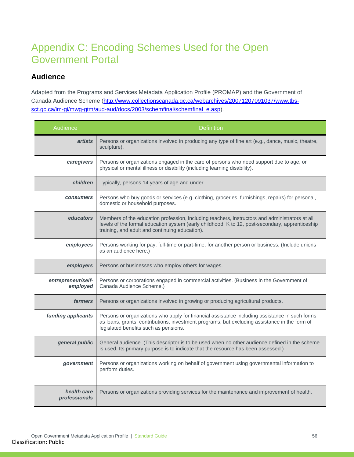### <span id="page-55-0"></span>Appendix C: Encoding Schemes Used for the Open Government Portal

### <span id="page-55-1"></span>**Audience**

Adapted from the Programs and Services Metadata Application Profile (PROMAP) and the Government of Canada Audience Scheme [\(http://www.collectionscanada.gc.ca/webarchives/20071207091037/www.tbs](http://www.collectionscanada.gc.ca/webarchives/20071207091037/www.tbs-sct.gc.ca/im-gi/mwg-gtm/aud-aud/docs/2003/schemfinal/schemfinal_e.asp)[sct.gc.ca/im-gi/mwg-gtm/aud-aud/docs/2003/schemfinal/schemfinal\\_e.asp\)](http://www.collectionscanada.gc.ca/webarchives/20071207091037/www.tbs-sct.gc.ca/im-gi/mwg-gtm/aud-aud/docs/2003/schemfinal/schemfinal_e.asp).

| Audience                       | <b>Definition</b>                                                                                                                                                                                                                                   |
|--------------------------------|-----------------------------------------------------------------------------------------------------------------------------------------------------------------------------------------------------------------------------------------------------|
| <i>artists</i>                 | Persons or organizations involved in producing any type of fine art (e.g., dance, music, theatre,<br>sculpture).                                                                                                                                    |
| caregivers                     | Persons or organizations engaged in the care of persons who need support due to age, or<br>physical or mental illness or disability (including learning disability).                                                                                |
| <i>children</i>                | Typically, persons 14 years of age and under.                                                                                                                                                                                                       |
| <b>consumers</b>               | Persons who buy goods or services (e.g. clothing, groceries, furnishings, repairs) for personal,<br>domestic or household purposes.                                                                                                                 |
| educators                      | Members of the education profession, including teachers, instructors and administrators at all<br>levels of the formal education system (early childhood, K to 12, post-secondary, apprenticeship<br>training, and adult and continuing education). |
| employees                      | Persons working for pay, full-time or part-time, for another person or business. (Include unions<br>as an audience here.)                                                                                                                           |
| employers                      | Persons or businesses who employ others for wages.                                                                                                                                                                                                  |
| entrepreneur/self-<br>employed | Persons or corporations engaged in commercial activities. (Business in the Government of<br>Canada Audience Scheme.)                                                                                                                                |
| <i>farmers</i>                 | Persons or organizations involved in growing or producing agricultural products.                                                                                                                                                                    |
| funding applicants             | Persons or organizations who apply for financial assistance including assistance in such forms<br>as loans, grants, contributions, investment programs, but excluding assistance in the form of<br>legislated benefits such as pensions.            |
| general public                 | General audience. (This descriptor is to be used when no other audience defined in the scheme<br>is used. Its primary purpose is to indicate that the resource has been assessed.)                                                                  |
| government                     | Persons or organizations working on behalf of government using governmental information to<br>perform duties.                                                                                                                                       |
| health care<br>professionals   | Persons or organizations providing services for the maintenance and improvement of health.                                                                                                                                                          |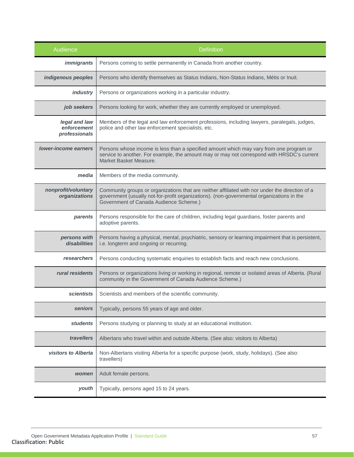| Audience                                      | <b>Definition</b>                                                                                                                                                                                                                      |
|-----------------------------------------------|----------------------------------------------------------------------------------------------------------------------------------------------------------------------------------------------------------------------------------------|
| <i>immigrants</i>                             | Persons coming to settle permanently in Canada from another country.                                                                                                                                                                   |
| indigenous peoples                            | Persons who identify themselves as Status Indians, Non-Status Indians, Métis or Inuit.                                                                                                                                                 |
| <b>industry</b>                               | Persons or organizations working in a particular industry.                                                                                                                                                                             |
| job seekers                                   | Persons looking for work, whether they are currently employed or unemployed.                                                                                                                                                           |
| legal and law<br>enforcement<br>professionals | Members of the legal and law enforcement professions, including lawyers, paralegals, judges,<br>police and other law enforcement specialists, etc.                                                                                     |
| lower-income earners                          | Persons whose income is less than a specified amount which may vary from one program or<br>service to another. For example, the amount may or may not correspond with HRSDC's current<br>Market Basket Measure.                        |
| media                                         | Members of the media community.                                                                                                                                                                                                        |
| nonprofit/voluntary<br>organizations          | Community groups or organizations that are neither affiliated with nor under the direction of a<br>government (usually not-for-profit organizations). (non-governmental organizations in the<br>Government of Canada Audience Scheme.) |
| parents                                       | Persons responsible for the care of children, including legal guardians, foster parents and<br>adoptive parents.                                                                                                                       |
| persons with<br>disabilities                  | Persons having a physical, mental, psychiatric, sensory or learning impairment that is persistent,<br>i.e. longterm and ongoing or recurring.                                                                                          |
| researchers                                   | Persons conducting systematic enquiries to establish facts and reach new conclusions.                                                                                                                                                  |
| rural residents                               | Persons or organizations living or working in regional, remote or isolated areas of Alberta. (Rural<br>community in the Government of Canada Audience Scheme.)                                                                         |
| <b>scientists</b>                             | Scientists and members of the scientific community.                                                                                                                                                                                    |
| seniors                                       | Typically, persons 55 years of age and older.                                                                                                                                                                                          |
| <b>students</b>                               | Persons studying or planning to study at an educational institution.                                                                                                                                                                   |
| travellers                                    | Albertans who travel within and outside Alberta. (See also: visitors to Alberta)                                                                                                                                                       |
| visitors to Alberta                           | Non-Albertans visiting Alberta for a specific purpose (work, study, holidays). (See also:<br>travellers)                                                                                                                               |
| women                                         | Adult female persons.                                                                                                                                                                                                                  |
| youth                                         | Typically, persons aged 15 to 24 years.                                                                                                                                                                                                |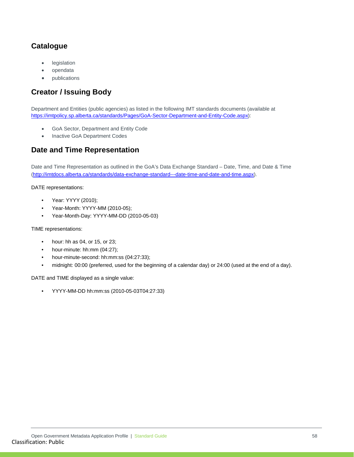### <span id="page-57-0"></span>**Catalogue**

- **legislation**
- opendata
- publications

### <span id="page-57-1"></span>**Creator / Issuing Body**

Department and Entities (public agencies) as listed in the following IMT standards documents (available at [https://imtpolicy.sp.alberta.ca/standards/Pages/GoA-Sector-Department-and-Entity-Code.aspx\)](https://imtpolicy.sp.alberta.ca/standards/Pages/GoA-Sector-Department-and-Entity-Code.aspx):

- GoA Sector, Department and Entity Code
- Inactive GoA Department Codes

### <span id="page-57-2"></span>**Date and Time Representation**

Date and Time Representation as outlined in the GoA's Data Exchange Standard – Date, Time, and Date & Time [\(http://imtdocs.alberta.ca/standards/data-exchange-standard---date-time-and-date-and-time.aspx\)](http://imtdocs.alberta.ca/standards/data-exchange-standard---date-time-and-date-and-time.aspx).

DATE representations:

- Year: YYYY (2010);
- Year-Month: YYYY-MM (2010-05);
- Year-Month-Day: YYYY-MM-DD (2010-05-03)

TIME representations:

- hour: hh as 04, or 15, or 23;
- hour-minute: hh:mm (04:27);
- hour-minute-second: hh:mm:ss (04:27:33);
- midnight: 00:00 (preferred, used for the beginning of a calendar day) or 24:00 (used at the end of a day).

DATE and TIME displayed as a single value:

• YYYY-MM-DD hh:mm:ss (2010-05-03T04:27:33)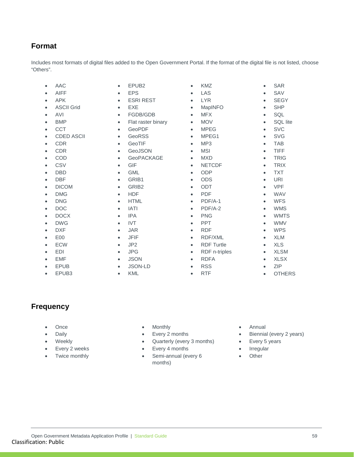### <span id="page-58-0"></span>**Format**

Includes most formats of digital files added to the Open Government Portal. If the format of the digital file is not listed, choose "Others".

- AAC
- AIFF
- APK
- ASCII Grid
- AVI
- BMP
- CCT
- CDED ASCII
- CDR
- CDR
- COD
- CSV
- DBD
- DBF
- DICOM
- DMG
- DNG
- DOC
- DOCX
- DWG
- DXF
- E00
- ECW
- EDI
- EMF
- EPUB
- EPUB3
- EPUB2
- EPS • ESRI REST
- EXE
- FGDB/GDB
- 
- Flat raster binary
- GeoPDF • GeoRSS
- GeoTIF
- GeoJSON
- GeoPACKAGE
- GIF
- GML
- GRIB1
- GRIB2
- HDF
- HTML
- IATI
- IPA
- IVT
- JAR
- JFIF
- JP2
- JPG
- JSON
- JSON-LD
- KML

| <b>KMZ</b>        |           | <b>SAR</b>      |
|-------------------|-----------|-----------------|
| LAS               |           | SAV             |
| <b>LYR</b>        |           | <b>SEGY</b>     |
| MapINFO           |           | <b>SHP</b>      |
| <b>MFX</b>        | $\bullet$ | SQL             |
| <b>MOV</b>        | $\bullet$ | <b>SQL</b> lite |
| <b>MPEG</b>       |           | <b>SVC</b>      |
| MPEG1             |           | <b>SVG</b>      |
| MP <sub>3</sub>   | $\bullet$ | <b>TAB</b>      |
| <b>MSI</b>        | $\bullet$ | <b>TIFF</b>     |
| <b>MXD</b>        |           | <b>TRIG</b>     |
| <b>NETCDF</b>     |           | <b>TRIX</b>     |
| <b>ODP</b>        |           | <b>TXT</b>      |
| <b>ODS</b>        |           | <b>URI</b>      |
| ODT               |           | <b>VPF</b>      |
| <b>PDF</b>        | $\bullet$ | <b>WAV</b>      |
| PDF/A-1           | $\bullet$ | <b>WFS</b>      |
| PDF/A-2           |           | <b>WMS</b>      |
| <b>PNG</b>        |           | <b>WMTS</b>     |
| <b>PPT</b>        | $\bullet$ | <b>WMV</b>      |
| <b>RDF</b>        |           | <b>WPS</b>      |
| <b>RDF/XML</b>    |           | <b>XLM</b>      |
| <b>RDF Turtle</b> | $\bullet$ | <b>XLS</b>      |
| RDF n-triples     | $\bullet$ | <b>XLSM</b>     |
| <b>RDFA</b>       |           | <b>XLSX</b>     |
| <b>RSS</b>        |           | <b>ZIP</b>      |
| <b>RTF</b>        | $\bullet$ | <b>OTHERS</b>   |

### <span id="page-58-1"></span>**Frequency**

- Once
- Daily
- Weekly
- Every 2 weeks
- Twice monthly
- **Monthly**
- Every 2 months
- Quarterly (every 3 months)
- Every 4 months
- Semi-annual (every 6 months)
- Annual
- Biennial (every 2 years)
- Every 5 years
- **Irregular**
- Other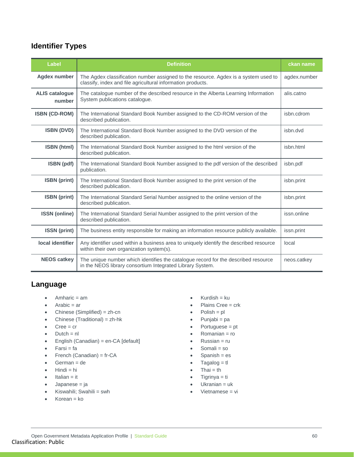### <span id="page-59-0"></span>**Identifier Types**

| Label                           | <b>Definition</b>                                                                                                                                  | ckan name    |
|---------------------------------|----------------------------------------------------------------------------------------------------------------------------------------------------|--------------|
| <b>Agdex number</b>             | The Agdex classification number assigned to the resource. Agdex is a system used to<br>classify, index and file agricultural information products. | agdex.number |
| <b>ALIS catalogue</b><br>number | The catalogue number of the described resource in the Alberta Learning Information<br>System publications catalogue.                               | alis.catno   |
| <b>ISBN (CD-ROM)</b>            | The International Standard Book Number assigned to the CD-ROM version of the<br>described publication.                                             | isbn.cdrom   |
| <b>ISBN (DVD)</b>               | The International Standard Book Number assigned to the DVD version of the<br>described publication.                                                | isbn.dvd     |
| <b>ISBN</b> (html)              | The International Standard Book Number assigned to the html version of the<br>described publication.                                               | isbn.html    |
| ISBN (pdf)                      | The International Standard Book Number assigned to the pdf version of the described<br>publication.                                                | isbn.pdf     |
| <b>ISBN</b> (print)             | The International Standard Book Number assigned to the print version of the<br>described publication.                                              | isbn.print   |
| <b>ISBN</b> (print)             | The International Standard Serial Number assigned to the online version of the<br>described publication.                                           | isbn.print   |
| <b>ISSN</b> (online)            | The International Standard Serial Number assigned to the print version of the<br>described publication.                                            | issn.online  |
| <b>ISSN</b> (print)             | The business entity responsible for making an information resource publicly available.                                                             | issn.print   |
| local identifier                | Any identifier used within a business area to uniquely identify the described resource<br>within their own organization system(s).                 | local        |
| <b>NEOS catkey</b>              | The unique number which identifies the catalogue record for the described resource<br>in the NEOS library consortium Integrated Library System.    | neos.catkey  |

### <span id="page-59-1"></span>**Language**

- Amharic = am
- $\bullet$  Arabic = ar
- Chinese (Simplified) = zh-cn
- Chinese (Traditional) = zh-hk
- $\bullet$  Cree = cr
- $\bullet$  Dutch = nl
- English (Canadian) = en-CA [default]
- $\bullet$  Farsi = fa
- French (Canadian) = fr-CA
- German = de
- $\bullet$  Hindi = hi
- $\bullet$  Italian = it
- Japanese = ja
- Kiswahili; Swahili = swh
- Korean = ko
- $\bullet$  Kurdish = ku
- Plains Cree = crk
- $Polish = pl$
- Punjabi = pa
- Portuguese = pt
- Romanian = ro
- $R$ ussian = ru
- Somali = so
- $Spanish = es$
- $\bullet$  Tagalog = tl
- $That = th$
- $Tigrinya = ti$
- Ukranian = uk
- Vietnamese = vi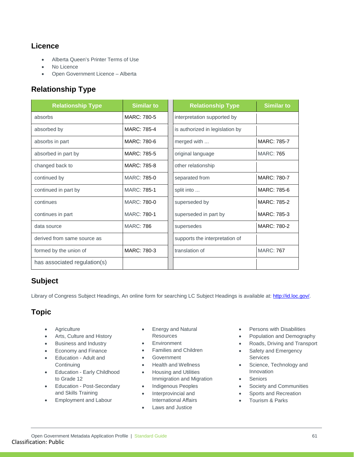### <span id="page-60-0"></span>**Licence**

- Alberta Queen's Printer Terms of Use
- No Licence
- Open Government Licence Alberta

### <span id="page-60-1"></span>**Relationship Type**

| <b>Relationship Type</b>     | <b>Similar to</b>  | <b>Relationship Type</b>        | <b>Similar to</b> |
|------------------------------|--------------------|---------------------------------|-------------------|
| absorbs                      | MARC: 780-5        | interpretation supported by     |                   |
| absorbed by                  | MARC: 785-4        | is authorized in legislation by |                   |
| absorbs in part              | MARC: 780-6        | merged with                     | MARC: 785-7       |
| absorbed in part by          | MARC: 785-5        | original language               | <b>MARC: 765</b>  |
| changed back to              | MARC: 785-8        | other relationship              |                   |
| continued by                 | MARC: 785-0        | separated from                  | MARC: 780-7       |
| continued in part by         | <b>MARC: 785-1</b> | split into                      | MARC: 785-6       |
| continues                    | MARC: 780-0        | superseded by                   | MARC: 785-2       |
| continues in part            | <b>MARC: 780-1</b> | superseded in part by           | MARC: 785-3       |
| data source                  | <b>MARC: 786</b>   | supersedes                      | MARC: 780-2       |
| derived from same source as  |                    | supports the interpretation of  |                   |
| formed by the union of       | MARC: 780-3        | translation of                  | <b>MARC: 767</b>  |
| has associated regulation(s) |                    |                                 |                   |

### <span id="page-60-2"></span>**Subject**

Library of Congress Subject Headings, An online form for searching LC Subject Headings is available at: [http://id.loc.gov/.](http://id.loc.gov/)

### <span id="page-60-3"></span>**Topic**

- Agriculture
- Arts, Culture and History
- Business and Industry
- Economy and Finance
- Education Adult and **Continuing**
- Education Early Childhood to Grade 12
- Education Post-Secondary and Skills Training
- Employment and Labour
- Energy and Natural **Resources**
- **Environment**
- Families and Children
- **Government**
- Health and Wellness
- Housing and Utilities Immigration and Migration
- Indigenous Peoples
- Interprovincial and International Affairs
- Laws and Justice
- Persons with Disabilities
- Population and Demography
- Roads, Driving and Transport
- Safety and Emergency Services
- Science, Technology and Innovation
- **Seniors**
- Society and Communities
- Sports and Recreation
- Tourism & Parks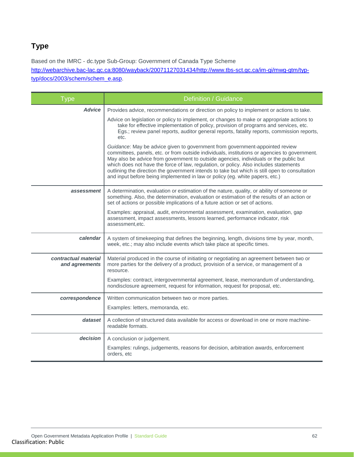### <span id="page-61-0"></span>**Type**

Based on the IMRC - dc.type Sub-Group: Government of Canada Type Scheme [http://webarchive.bac-lac.gc.ca:8080/wayback/20071127031434/http://www.tbs-sct.gc.ca/im-gi/mwg-gtm/typ](http://webarchive.bac-lac.gc.ca:8080/wayback/20071127031434/http:/www.tbs-sct.gc.ca/im-gi/mwg-gtm/typ-typ/docs/2003/schem/schem_e.asp)[typ/docs/2003/schem/schem\\_e.asp.](http://webarchive.bac-lac.gc.ca:8080/wayback/20071127031434/http:/www.tbs-sct.gc.ca/im-gi/mwg-gtm/typ-typ/docs/2003/schem/schem_e.asp)

| <b>Type</b>                            | Definition / Guidance                                                                                                                                                                                                                                                                                                                                                                                                                                                                                                                             |
|----------------------------------------|---------------------------------------------------------------------------------------------------------------------------------------------------------------------------------------------------------------------------------------------------------------------------------------------------------------------------------------------------------------------------------------------------------------------------------------------------------------------------------------------------------------------------------------------------|
| <b>Advice</b>                          | Provides advice, recommendations or direction on policy to implement or actions to take.                                                                                                                                                                                                                                                                                                                                                                                                                                                          |
|                                        | Advice on legislation or policy to implement, or changes to make or appropriate actions to<br>take for effective implementation of policy, provision of programs and services, etc.<br>Egs.; review panel reports, auditor general reports, fatality reports, commission reports,<br>etc.                                                                                                                                                                                                                                                         |
|                                        | Guidance: May be advice given to government from government-appointed review<br>committees, panels, etc. or from outside individuals, institutions or agencies to government.<br>May also be advice from government to outside agencies, individuals or the public but<br>which does not have the force of law, regulation, or policy. Also includes statements<br>outlining the direction the government intends to take but which is still open to consultation<br>and input before being implemented in law or policy (eg. white papers, etc.) |
| assessment                             | A determination, evaluation or estimation of the nature, quality, or ability of someone or<br>something. Also, the determination, evaluation or estimation of the results of an action or<br>set of actions or possible implications of a future action or set of actions.                                                                                                                                                                                                                                                                        |
|                                        | Examples: appraisal, audit, environmental assessment, examination, evaluation, gap<br>assessment, impact assessments, lessons learned, performance indicator, risk<br>assessment.etc.                                                                                                                                                                                                                                                                                                                                                             |
| calendar                               | A system of timekeeping that defines the beginning, length, divisions time by year, month,<br>week, etc.; may also include events which take place at specific times.                                                                                                                                                                                                                                                                                                                                                                             |
| contractual material<br>and agreements | Material produced in the course of initiating or negotiating an agreement between two or<br>more parties for the delivery of a product, provision of a service, or management of a<br>resource.                                                                                                                                                                                                                                                                                                                                                   |
|                                        | Examples: contract, intergovernmental agreement, lease, memorandum of understanding,<br>nondisclosure agreement, request for information, request for proposal, etc.                                                                                                                                                                                                                                                                                                                                                                              |
| correspondence                         | Written communication between two or more parties.                                                                                                                                                                                                                                                                                                                                                                                                                                                                                                |
|                                        | Examples: letters, memoranda, etc.                                                                                                                                                                                                                                                                                                                                                                                                                                                                                                                |
| dataset                                | A collection of structured data available for access or download in one or more machine-<br>readable formats.                                                                                                                                                                                                                                                                                                                                                                                                                                     |
| decision                               | A conclusion or judgement.                                                                                                                                                                                                                                                                                                                                                                                                                                                                                                                        |
|                                        | Examples: rulings, judgements, reasons for decision, arbitration awards, enforcement<br>orders, etc                                                                                                                                                                                                                                                                                                                                                                                                                                               |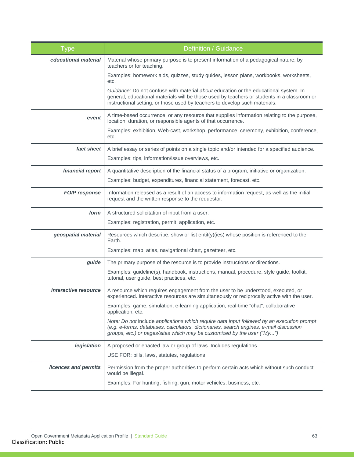| <b>Type</b>          | Definition / Guidance                                                                                                                                                                                                                                              |
|----------------------|--------------------------------------------------------------------------------------------------------------------------------------------------------------------------------------------------------------------------------------------------------------------|
| educational material | Material whose primary purpose is to present information of a pedagogical nature; by<br>teachers or for teaching.                                                                                                                                                  |
|                      | Examples: homework aids, quizzes, study guides, lesson plans, workbooks, worksheets,<br>etc.                                                                                                                                                                       |
|                      | Guidance: Do not confuse with material about education or the educational system. In<br>general, educational materials will be those used by teachers or students in a classroom or<br>instructional setting, or those used by teachers to develop such materials. |
| event                | A time-based occurrence, or any resource that supplies information relating to the purpose,<br>location, duration, or responsible agents of that occurrence.                                                                                                       |
|                      | Examples: exhibition, Web-cast, workshop, performance, ceremony, exhibition, conference,<br>etc.                                                                                                                                                                   |
| fact sheet           | A brief essay or series of points on a single topic and/or intended for a specified audience.                                                                                                                                                                      |
|                      | Examples: tips, information/issue overviews, etc.                                                                                                                                                                                                                  |
| financial report     | A quantitative description of the financial status of a program, initiative or organization.                                                                                                                                                                       |
|                      | Examples: budget, expenditures, financial statement, forecast, etc.                                                                                                                                                                                                |
| <b>FOIP response</b> | Information released as a result of an access to information request, as well as the initial<br>request and the written response to the requestor.                                                                                                                 |
| form                 | A structured solicitation of input from a user.                                                                                                                                                                                                                    |
|                      | Examples: registration, permit, application, etc.                                                                                                                                                                                                                  |
| geospatial material  | Resources which describe, show or list entit(y)(ies) whose position is referenced to the<br>Earth.                                                                                                                                                                 |
|                      | Examples: map, atlas, navigational chart, gazetteer, etc.                                                                                                                                                                                                          |
| guide                | The primary purpose of the resource is to provide instructions or directions.                                                                                                                                                                                      |
|                      | Examples: guideline(s), handbook, instructions, manual, procedure, style guide, toolkit,<br>tutorial, user guide, best practices, etc.                                                                                                                             |
| interactive resource | A resource which requires engagement from the user to be understood, executed, or<br>experienced. Interactive resources are simultaneously or reciprocally active with the user.                                                                                   |
|                      | Examples: game, simulation, e-learning application, real-time "chat", collaborative<br>application, etc.                                                                                                                                                           |
|                      | Note: Do not include applications which require data input followed by an execution prompt<br>(e.g. e-forms, databases, calculators, dictionaries, search engines, e-mail discussion<br>groups, etc.) or pages/sites which may be customized by the user ("My")    |
| legislation          | A proposed or enacted law or group of laws. Includes regulations.                                                                                                                                                                                                  |
|                      | USE FOR: bills, laws, statutes, regulations                                                                                                                                                                                                                        |
| licences and permits | Permission from the proper authorities to perform certain acts which without such conduct<br>would be illegal.                                                                                                                                                     |
|                      | Examples: For hunting, fishing, gun, motor vehicles, business, etc.                                                                                                                                                                                                |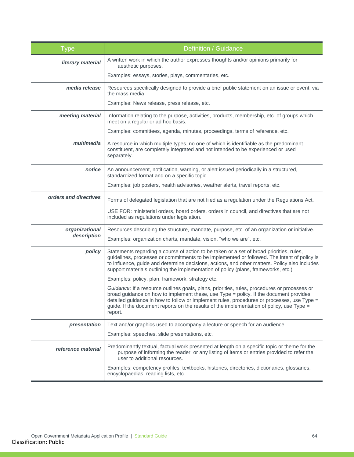| <b>Type</b>           | Definition / Guidance                                                                                                                                                                                                                                                                                                                                                                       |
|-----------------------|---------------------------------------------------------------------------------------------------------------------------------------------------------------------------------------------------------------------------------------------------------------------------------------------------------------------------------------------------------------------------------------------|
| literary material     | A written work in which the author expresses thoughts and/or opinions primarily for<br>aesthetic purposes.                                                                                                                                                                                                                                                                                  |
|                       | Examples: essays, stories, plays, commentaries, etc.                                                                                                                                                                                                                                                                                                                                        |
| media release         | Resources specifically designed to provide a brief public statement on an issue or event, via<br>the mass media                                                                                                                                                                                                                                                                             |
|                       | Examples: News release, press release, etc.                                                                                                                                                                                                                                                                                                                                                 |
| meeting material      | Information relating to the purpose, activities, products, membership, etc. of groups which<br>meet on a regular or ad hoc basis.                                                                                                                                                                                                                                                           |
|                       | Examples: committees, agenda, minutes, proceedings, terms of reference, etc.                                                                                                                                                                                                                                                                                                                |
| multimedia            | A resource in which multiple types, no one of which is identifiable as the predominant<br>constituent, are completely integrated and not intended to be experienced or used<br>separately.                                                                                                                                                                                                  |
| notice                | An announcement, notification, warning, or alert issued periodically in a structured,<br>standardized format and on a specific topic                                                                                                                                                                                                                                                        |
|                       | Examples: job posters, health advisories, weather alerts, travel reports, etc.                                                                                                                                                                                                                                                                                                              |
| orders and directives | Forms of delegated legislation that are not filed as a regulation under the Regulations Act.                                                                                                                                                                                                                                                                                                |
|                       | USE FOR: ministerial orders, board orders, orders in council, and directives that are not<br>included as regulations under legislation.                                                                                                                                                                                                                                                     |
| organizational        | Resources describing the structure, mandate, purpose, etc. of an organization or initiative.                                                                                                                                                                                                                                                                                                |
| description           | Examples: organization charts, mandate, vision, "who we are", etc.                                                                                                                                                                                                                                                                                                                          |
| policy                | Statements regarding a course of action to be taken or a set of broad priorities, rules,<br>guidelines, processes or commitments to be implemented or followed. The intent of policy is<br>to influence, guide and determine decisions, actions, and other matters. Policy also includes<br>support materials outlining the implementation of policy (plans, frameworks, etc.)              |
|                       | Examples: policy, plan, framework, strategy etc.                                                                                                                                                                                                                                                                                                                                            |
|                       | Guidance: If a resource outlines goals, plans, priorities, rules, procedures or processes or<br>broad guidance on how to implement these, use Type = policy. If the document provides<br>detailed guidance in how to follow or implement rules, procedures or processes, use Type =<br>guide. If the document reports on the results of the implementation of policy, use Type =<br>report. |
| presentation          | Text and/or graphics used to accompany a lecture or speech for an audience.                                                                                                                                                                                                                                                                                                                 |
|                       | Examples: speeches, slide presentations, etc.                                                                                                                                                                                                                                                                                                                                               |
| reference material    | Predominantly textual, factual work presented at length on a specific topic or theme for the<br>purpose of informing the reader, or any listing of items or entries provided to refer the<br>user to additional resources.                                                                                                                                                                  |
|                       | Examples: competency profiles, textbooks, histories, directories, dictionaries, glossaries,<br>encyclopaedias, reading lists, etc.                                                                                                                                                                                                                                                          |